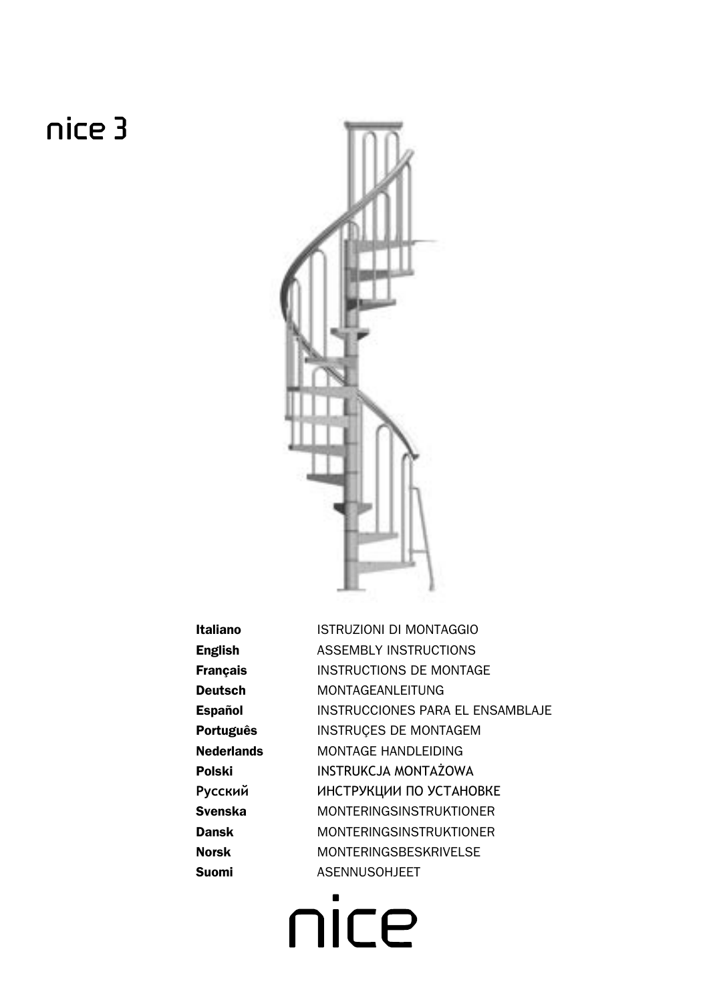# nice 3



**Italiano English Français Deutsch Español** Português **Nederlands Polski** Русский **Svenska** Dansk **Norsk** Suomi

ISTRUZIONI DI MONTAGGIO **ASSEMBLY INSTRUCTIONS INSTRUCTIONS DE MONTAGE MONTAGEANLEITUNG** INSTRUCCIONES PARA EL ENSAMBLAJE INSTRUCES DE MONTAGEM MONTAGE HANDLEIDING **INSTRUKCJA MONTAŻOWA** ИНСТРУКЦИИ ПО УСТАНОВКЕ **MONTERINGSINSTRUKTIONER MONTFRINGSINSTRUKTIONER MONTERINGSBESKRIVELSE ASENNUSOHJEET** 

 $\blacksquare$ nice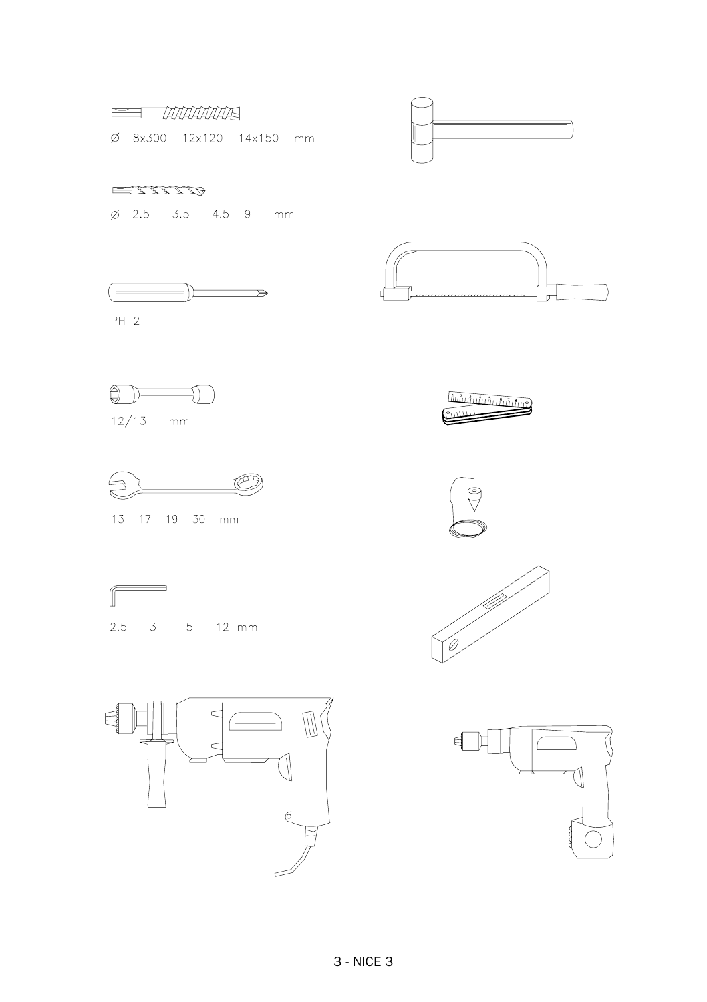



 $ETITITUP$ 

Ø 2.5 3.5 4.5 9 mm





 $PH 2$ 





13 17 19 30 mm











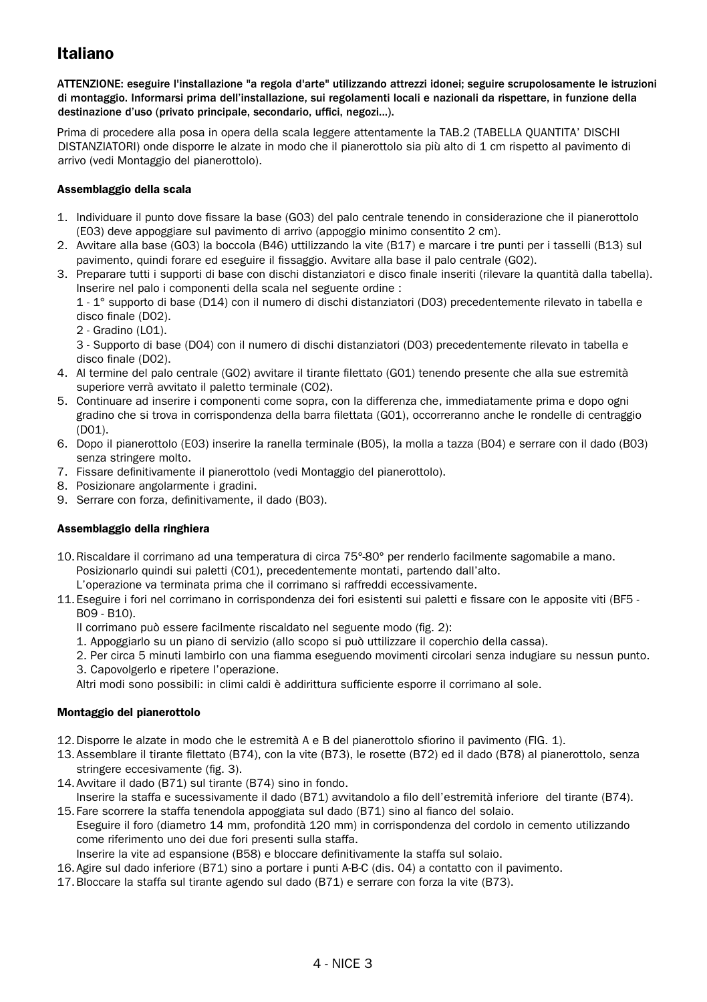# Italiano

ATTENZIONE: eseguire l'installazione "a regola d'arte" utilizzando attrezzi idonei; seguire scrupolosamente le istruzioni di montaggio. Informarsi prima dell'installazione, sui regolamenti locali e nazionali da rispettare, in funzione della destinazione d'uso (privato principale, secondario, uffici, negozi...).

Prima di procedere alla posa in opera della scala leggere attentamente la TAB.2 (TABELLA QUANTITA' DISCHI DISTANZIATORI) onde disporre le alzate in modo che il pianerottolo sia più alto di 1 cm rispetto al pavimento di arrivo (vedi Montaggio del pianerottolo).

#### Assemblaggio della scala

- 1. Individuare il punto dove fissare la base (G03) del palo centrale tenendo in considerazione che il pianerottolo (E03) deve appoggiare sul pavimento di arrivo (appoggio minimo consentito 2 cm).
- 2. Avvitare alla base (G03) la boccola (B46) uttilizzando la vite (B17) e marcare i tre punti per i tasselli (B13) sul pavimento, quindi forare ed eseguire il fissaggio. Avvitare alla base il palo centrale (G02).
- 3. Preparare tutti i supporti di base con dischi distanziatori e disco finale inseriti (rilevare la quantità dalla tabella). Inserire nel palo i componenti della scala nel seguente ordine :

1 - 1° supporto di base (D14) con il numero di dischi distanziatori (D03) precedentemente rilevato in tabella e disco finale (D02).

2 - Gradino (L01).

3 - Supporto di base (D04) con il numero di dischi distanziatori (D03) precedentemente rilevato in tabella e disco finale (D02).

- 4. Al termine del palo centrale (G02) avvitare il tirante filettato (G01) tenendo presente che alla sue estremità superiore verrà avvitato il paletto terminale (C02).
- 5. Continuare ad inserire i componenti come sopra, con la differenza che, immediatamente prima e dopo ogni gradino che si trova in corrispondenza della barra filettata (G01), occorreranno anche le rondelle di centraggio (D01).
- 6. Dopo il pianerottolo (E03) inserire la ranella terminale (B05), la molla a tazza (B04) e serrare con il dado (B03) senza stringere molto.
- 7. Fissare definitivamente il pianerottolo (vedi Montaggio del pianerottolo).
- 8. Posizionare angolarmente i gradini.
- 9. Serrare con forza, definitivamente, il dado (B03).

#### Assemblaggio della ringhiera

- 10.Riscaldare il corrimano ad una temperatura di circa 75°-80° per renderlo facilmente sagomabile a mano. Posizionarlo quindi sui paletti (C01), precedentemente montati, partendo dall'alto.
- L'operazione va terminata prima che il corrimano si raffreddi eccessivamente.

11.Eseguire i fori nel corrimano in corrispondenza dei fori esistenti sui paletti e fissare con le apposite viti (BF5 - B09 - B10).

- Il corrimano può essere facilmente riscaldato nel seguente modo (fig. 2):
- 1. Appoggiarlo su un piano di servizio (allo scopo si può uttilizzare il coperchio della cassa).
- 2. Per circa 5 minuti lambirlo con una fiamma eseguendo movimenti circolari senza indugiare su nessun punto. 3. Capovolgerlo e ripetere l'operazione.

Altri modi sono possibili: in climi caldi è addirittura sufficiente esporre il corrimano al sole.

#### Montaggio del pianerottolo

- 12.Disporre le alzate in modo che le estremità A e B del pianerottolo sfiorino il pavimento (FIG. 1).
- 13.Assemblare il tirante filettato (B74), con la vite (B73), le rosette (B72) ed il dado (B78) al pianerottolo, senza stringere eccesivamente (fig. 3).
- 14.Avvitare il dado (B71) sul tirante (B74) sino in fondo.

Inserire la staffa e sucessivamente il dado (B71) avvitandolo a filo dell'estremità inferiore del tirante (B74). 15.Fare scorrere la staffa tenendola appoggiata sul dado (B71) sino al fianco del solaio. Eseguire il foro (diametro 14 mm, profondità 120 mm) in corrispondenza del cordolo in cemento utilizzando come riferimento uno dei due fori presenti sulla staffa.

Inserire la vite ad espansione (B58) e bloccare definitivamente la staffa sul solaio.

- 16.Agire sul dado inferiore (B71) sino a portare i punti A-B-C (dis. 04) a contatto con il pavimento.
- 17.Bloccare la staffa sul tirante agendo sul dado (B71) e serrare con forza la vite (B73).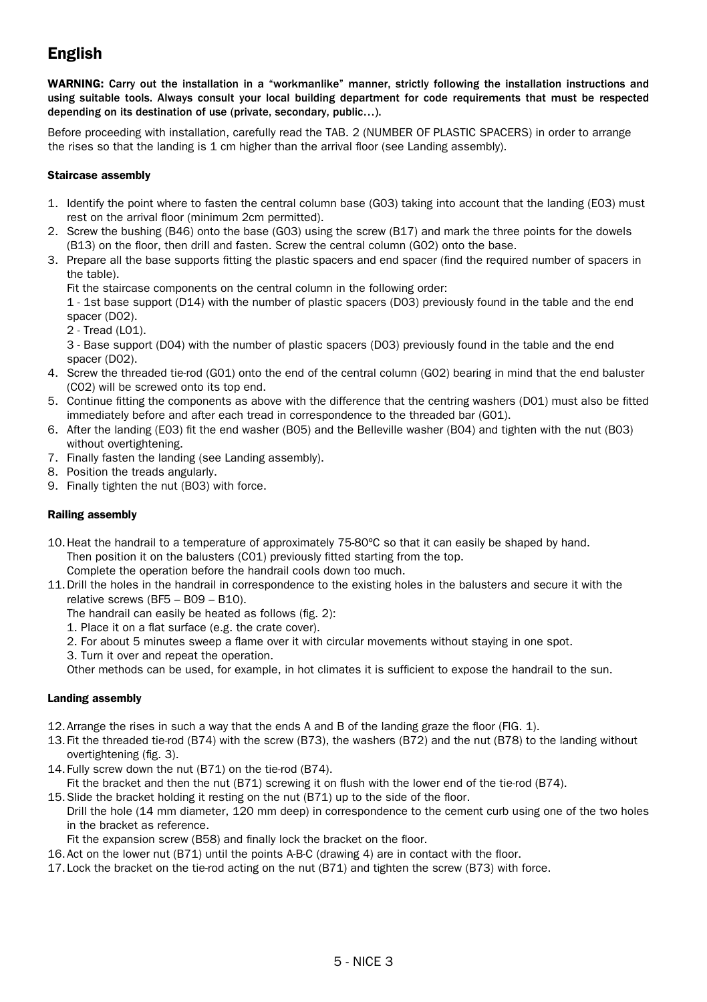# English

WARNING: Carry out the installation in a "workmanlike" manner, strictly following the installation instructions and using suitable tools. Always consult your local building department for code requirements that must be respected depending on its destination of use (private, secondary, public…).

Before proceeding with installation, carefully read the TAB. 2 (NUMBER OF PLASTIC SPACERS) in order to arrange the rises so that the landing is 1 cm higher than the arrival floor (see Landing assembly).

#### Staircase assembly

- 1. Identify the point where to fasten the central column base (G03) taking into account that the landing (E03) must rest on the arrival floor (minimum 2cm permitted).
- 2. Screw the bushing (B46) onto the base (G03) using the screw (B17) and mark the three points for the dowels (B13) on the floor, then drill and fasten. Screw the central column (G02) onto the base.
- 3. Prepare all the base supports fitting the plastic spacers and end spacer (find the required number of spacers in the table).

Fit the staircase components on the central column in the following order:

1 - 1st base support (D14) with the number of plastic spacers (D03) previously found in the table and the end spacer (D02).

- 2 Tread (L01).
- 3 Base support (D04) with the number of plastic spacers (D03) previously found in the table and the end spacer (D02).
- 4. Screw the threaded tie-rod (G01) onto the end of the central column (G02) bearing in mind that the end baluster (C02) will be screwed onto its top end.
- 5. Continue fitting the components as above with the difference that the centring washers (D01) must also be fitted immediately before and after each tread in correspondence to the threaded bar (G01).
- 6. After the landing (E03) fit the end washer (B05) and the Belleville washer (B04) and tighten with the nut (B03) without overtightening.
- 7. Finally fasten the landing (see Landing assembly).
- 8. Position the treads angularly.
- 9. Finally tighten the nut (B03) with force.

#### Railing assembly

10.Heat the handrail to a temperature of approximately 75-80ºC so that it can easily be shaped by hand. Then position it on the balusters (C01) previously fitted starting from the top.

Complete the operation before the handrail cools down too much.

- 11.Drill the holes in the handrail in correspondence to the existing holes in the balusters and secure it with the relative screws (BF5 – B09 – B10).
	- The handrail can easily be heated as follows (fig. 2):
	- 1. Place it on a flat surface (e.g. the crate cover).
	- 2. For about 5 minutes sweep a flame over it with circular movements without staying in one spot.
	- 3. Turn it over and repeat the operation.

Other methods can be used, for example, in hot climates it is sufficient to expose the handrail to the sun.

#### Landing assembly

- 12.Arrange the rises in such a way that the ends A and B of the landing graze the floor (FIG. 1).
- 13.Fit the threaded tie-rod (B74) with the screw (B73), the washers (B72) and the nut (B78) to the landing without overtightening (fig. 3).
- 14.Fully screw down the nut (B71) on the tie-rod (B74).
- Fit the bracket and then the nut (B71) screwing it on flush with the lower end of the tie-rod (B74).
- 15.Slide the bracket holding it resting on the nut (B71) up to the side of the floor. Drill the hole (14 mm diameter, 120 mm deep) in correspondence to the cement curb using one of the two holes in the bracket as reference.
	- Fit the expansion screw (B58) and finally lock the bracket on the floor.
- 16.Act on the lower nut (B71) until the points A-B-C (drawing 4) are in contact with the floor.
- 17.Lock the bracket on the tie-rod acting on the nut (B71) and tighten the screw (B73) with force.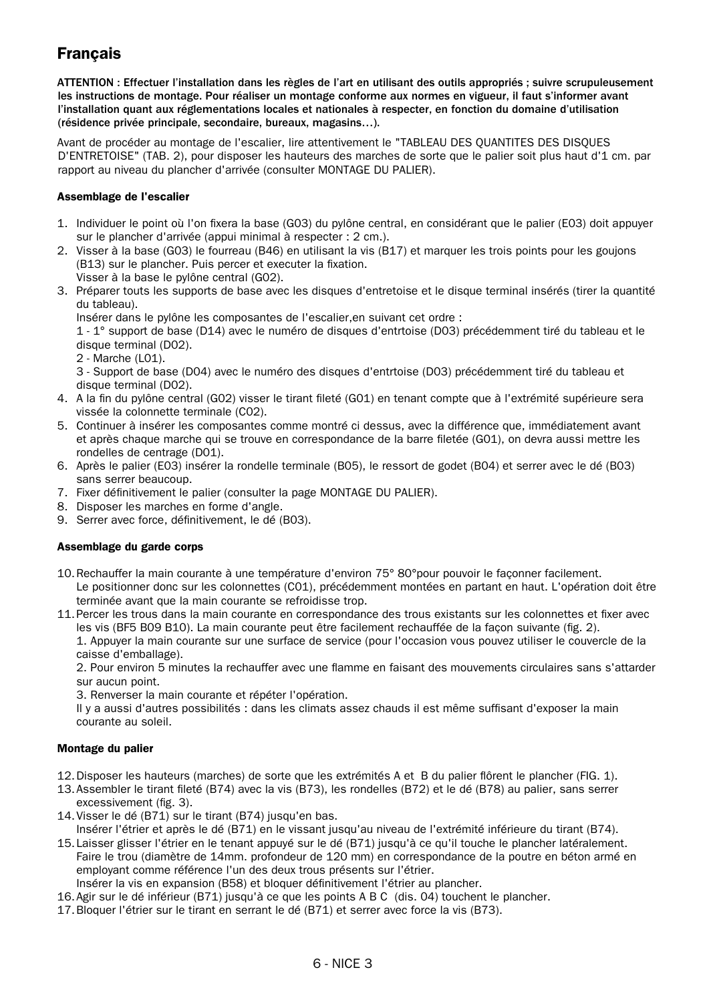# **Francais**

ATTENTION : Effectuer l'installation dans les règles de l'art en utilisant des outils appropriés ; suivre scrupuleusement les instructions de montage. Pour réaliser un montage conforme aux normes en vigueur, il faut s'informer avant l'installation quant aux réglementations locales et nationales à respecter, en fonction du domaine d'utilisation (résidence privée principale, secondaire, bureaux, magasins…).

Avant de procéder au montage de l'escalier, lire attentivement le "TABLEAU DES QUANTITES DES DISQUES D'ENTRETOISE" (TAB. 2), pour disposer les hauteurs des marches de sorte que le palier soit plus haut d'1 cm. par rapport au niveau du plancher d'arrivée (consulter MONTAGE DU PALIER).

#### Assemblage de l'escalier

- 1. Individuer le point où l'on fixera la base (G03) du pylône central, en considérant que le palier (E03) doit appuyer sur le plancher d'arrivée (appui minimal à respecter : 2 cm.).
- 2. Visser à la base (G03) le fourreau (B46) en utilisant la vis (B17) et marquer les trois points pour les goujons (B13) sur le plancher. Puis percer et executer la fixation. Visser à la base le pylône central (G02).
- 3. Préparer touts les supports de base avec les disques d'entretoise et le disque terminal insérés (tirer la quantité du tableau).

Insérer dans le pylône les composantes de l'escalier,en suivant cet ordre :

1 - 1° support de base (D14) avec le numéro de disques d'entrtoise (D03) précédemment tiré du tableau et le disque terminal (D02).

2 - Marche (L01).

3 - Support de base (D04) avec le numéro des disques d'entrtoise (D03) précédemment tiré du tableau et disque terminal (D02).

- 4. A la fin du pylône central (G02) visser le tirant fileté (G01) en tenant compte que à l'extrémité supérieure sera vissée la colonnette terminale (C02).
- 5. Continuer à insérer les composantes comme montré ci dessus, avec la différence que, immédiatement avant et après chaque marche qui se trouve en correspondance de la barre filetée (G01), on devra aussi mettre les rondelles de centrage (D01).
- 6. Après le palier (E03) insérer la rondelle terminale (B05), le ressort de godet (B04) et serrer avec le dé (B03) sans serrer beaucoup.
- 7. Fixer définitivement le palier (consulter la page MONTAGE DU PALIER).
- 8. Disposer les marches en forme d'angle.
- 9. Serrer avec force, définitivement, le dé (B03).

#### Assemblage du garde corps

10.Rechauffer la main courante à une température d'environ 75° 80°pour pouvoir le façonner facilement. Le positionner donc sur les colonnettes (C01), précédemment montées en partant en haut. L'opération doit être terminée avant que la main courante se refroidisse trop.

11.Percer les trous dans la main courante en correspondance des trous existants sur les colonnettes et fixer avec les vis (BF5 B09 B10). La main courante peut être facilement rechauffée de la façon suivante (fig. 2). 1. Appuyer la main courante sur une surface de service (pour l'occasion vous pouvez utiliser le couvercle de la caisse d'emballage).

2. Pour environ 5 minutes la rechauffer avec une flamme en faisant des mouvements circulaires sans s'attarder sur aucun point.

3. Renverser la main courante et répéter l'opération.

Il y a aussi d'autres possibilités : dans les climats assez chauds il est même suffisant d'exposer la main courante au soleil.

#### Montage du palier

- 12.Disposer les hauteurs (marches) de sorte que les extrémités A et B du palier flôrent le plancher (FIG. 1).
- 13.Assembler le tirant fileté (B74) avec la vis (B73), les rondelles (B72) et le dé (B78) au palier, sans serrer excessivement (fig. 3).
- 14.Visser le dé (B71) sur le tirant (B74) jusqu'en bas.
- Insérer l'étrier et après le dé (B71) en le vissant jusqu'au niveau de l'extrémité inférieure du tirant (B74). 15.Laisser glisser l'étrier en le tenant appuyé sur le dé (B71) jusqu'à ce qu'il touche le plancher latéralement. Faire le trou (diamètre de 14mm. profondeur de 120 mm) en correspondance de la poutre en béton armé en employant comme référence l'un des deux trous présents sur l'étrier.
- Insérer la vis en expansion (B58) et bloquer définitivement l'étrier au plancher.
- 16.Agir sur le dé inférieur (B71) jusqu'à ce que les points A B C (dis. 04) touchent le plancher.
- 17.Bloquer l'étrier sur le tirant en serrant le dé (B71) et serrer avec force la vis (B73).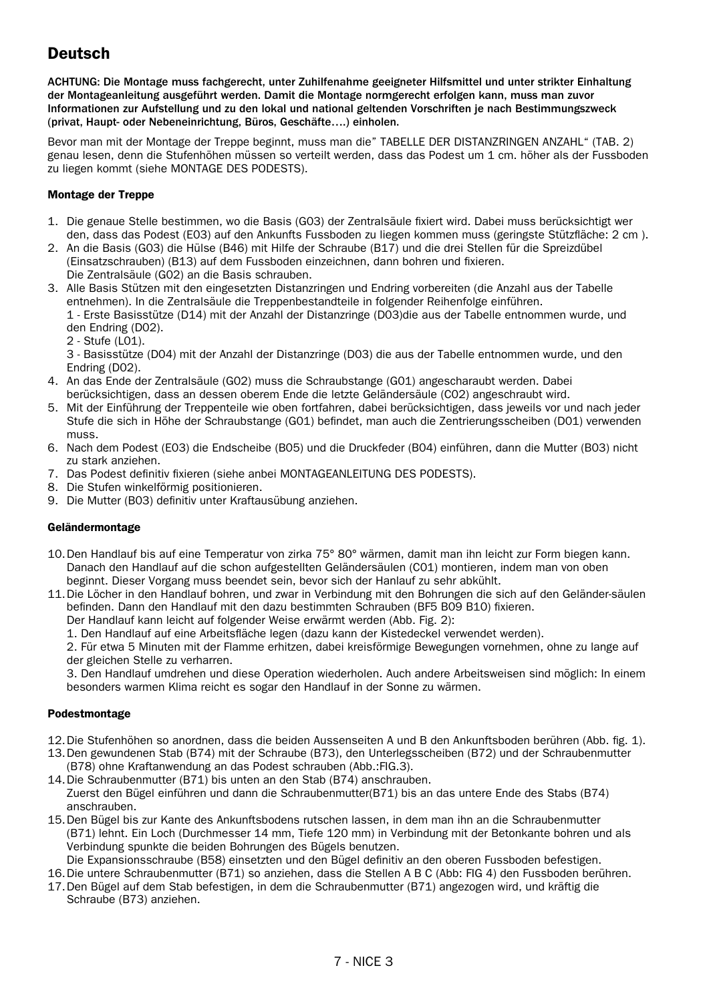# **Deutsch**

ACHTUNG: Die Montage muss fachgerecht, unter Zuhilfenahme geeigneter Hilfsmittel und unter strikter Einhaltung der Montageanleitung ausgeführt werden. Damit die Montage normgerecht erfolgen kann, muss man zuvor Informationen zur Aufstellung und zu den lokal und national geltenden Vorschriften je nach Bestimmungszweck (privat, Haupt- oder Nebeneinrichtung, Büros, Geschäfte….) einholen.

Bevor man mit der Montage der Treppe beginnt, muss man die" TABELLE DER DISTANZRINGEN ANZAHL" (TAB. 2) genau lesen, denn die Stufenhöhen müssen so verteilt werden, dass das Podest um 1 cm. höher als der Fussboden zu liegen kommt (siehe MONTAGE DES PODESTS).

#### Montage der Treppe

- 1. Die genaue Stelle bestimmen, wo die Basis (G03) der Zentralsäule fixiert wird. Dabei muss berücksichtigt wer den, dass das Podest (E03) auf den Ankunfts Fussboden zu liegen kommen muss (geringste Stützfläche: 2 cm ).
- 2. An die Basis (G03) die Hülse (B46) mit Hilfe der Schraube (B17) und die drei Stellen für die Spreizdübel (Einsatzschrauben) (B13) auf dem Fussboden einzeichnen, dann bohren und fixieren. Die Zentralsäule (G02) an die Basis schrauben.
- 3. Alle Basis Stützen mit den eingesetzten Distanzringen und Endring vorbereiten (die Anzahl aus der Tabelle entnehmen). In die Zentralsäule die Treppenbestandteile in folgender Reihenfolge einführen. 1 - Erste Basisstütze (D14) mit der Anzahl der Distanzringe (D03)die aus der Tabelle entnommen wurde, und den Endring (D02).
	- 2 Stufe (L01).

3 - Basisstütze (D04) mit der Anzahl der Distanzringe (D03) die aus der Tabelle entnommen wurde, und den Endring (D02).

- 4. An das Ende der Zentralsäule (G02) muss die Schraubstange (G01) angescharaubt werden. Dabei berücksichtigen, dass an dessen oberem Ende die letzte Geländersäule (C02) angeschraubt wird.
- 5. Mit der Einführung der Treppenteile wie oben fortfahren, dabei berücksichtigen, dass jeweils vor und nach jeder Stufe die sich in Höhe der Schraubstange (G01) befindet, man auch die Zentrierungsscheiben (D01) verwenden muss.
- 6. Nach dem Podest (E03) die Endscheibe (B05) und die Druckfeder (B04) einführen, dann die Mutter (B03) nicht zu stark anziehen.
- 7. Das Podest definitiv fixieren (siehe anbei MONTAGEANLEITUNG DES PODESTS).
- 8. Die Stufen winkelförmig positionieren.
- 9. Die Mutter (B03) definitiv unter Kraftausübung anziehen.

#### Geländermontage

- 10.Den Handlauf bis auf eine Temperatur von zirka 75° 80° wärmen, damit man ihn leicht zur Form biegen kann. Danach den Handlauf auf die schon aufgestellten Geländersäulen (C01) montieren, indem man von oben beginnt. Dieser Vorgang muss beendet sein, bevor sich der Hanlauf zu sehr abkühlt.
- 11.Die Löcher in den Handlauf bohren, und zwar in Verbindung mit den Bohrungen die sich auf den Geländer-säulen befinden. Dann den Handlauf mit den dazu bestimmten Schrauben (BF5 B09 B10) fixieren. Der Handlauf kann leicht auf folgender Weise erwärmt werden (Abb. Fig. 2):
	- 1. Den Handlauf auf eine Arbeitsfläche legen (dazu kann der Kistedeckel verwendet werden).

2. Für etwa 5 Minuten mit der Flamme erhitzen, dabei kreisförmige Bewegungen vornehmen, ohne zu lange auf der gleichen Stelle zu verharren.

3. Den Handlauf umdrehen und diese Operation wiederholen. Auch andere Arbeitsweisen sind möglich: In einem besonders warmen Klima reicht es sogar den Handlauf in der Sonne zu wärmen.

#### Podestmontage

- 12.Die Stufenhöhen so anordnen, dass die beiden Aussenseiten A und B den Ankunftsboden berühren (Abb. fig. 1).
- 13.Den gewundenen Stab (B74) mit der Schraube (B73), den Unterlegsscheiben (B72) und der Schraubenmutter (B78) ohne Kraftanwendung an das Podest schrauben (Abb.:FIG.3).
- 14.Die Schraubenmutter (B71) bis unten an den Stab (B74) anschrauben.

Zuerst den Bügel einführen und dann die Schraubenmutter(B71) bis an das untere Ende des Stabs (B74) anschrauben.

- 15.Den Bügel bis zur Kante des Ankunftsbodens rutschen lassen, in dem man ihn an die Schraubenmutter (B71) lehnt. Ein Loch (Durchmesser 14 mm, Tiefe 120 mm) in Verbindung mit der Betonkante bohren und als Verbindung spunkte die beiden Bohrungen des Bügels benutzen.
- Die Expansionsschraube (B58) einsetzten und den Bügel definitiv an den oberen Fussboden befestigen.
- 16.Die untere Schraubenmutter (B71) so anziehen, dass die Stellen A B C (Abb: FIG 4) den Fussboden berühren.
- 17.Den Bügel auf dem Stab befestigen, in dem die Schraubenmutter (B71) angezogen wird, und kräftig die Schraube (B73) anziehen.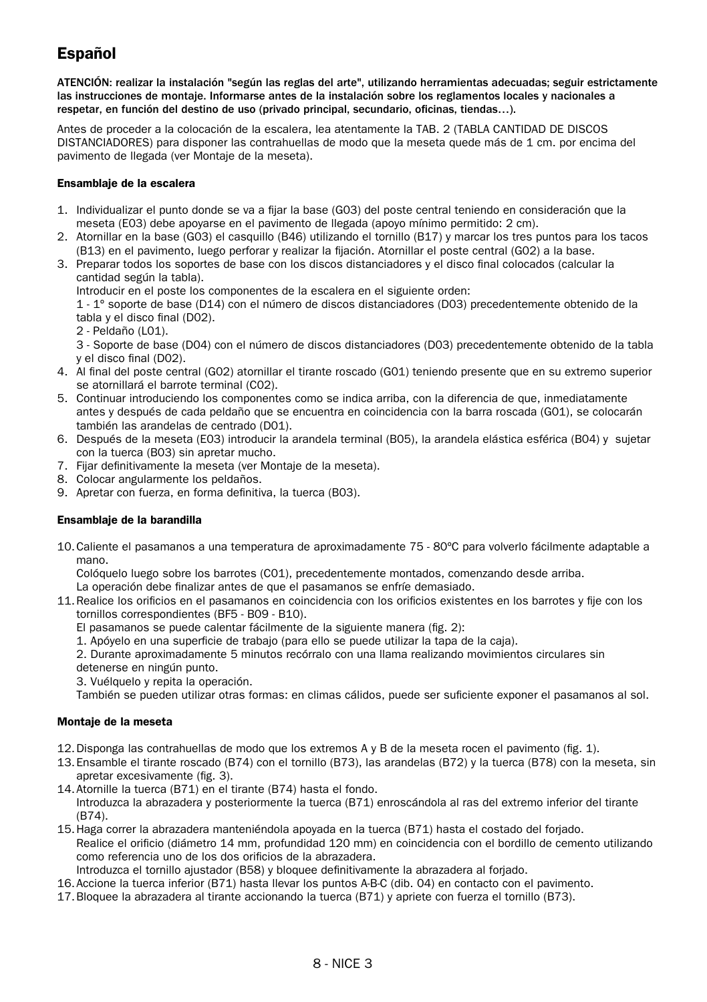# Español

ATENCIÓN: realizar la instalación "según las reglas del arte", utilizando herramientas adecuadas; seguir estrictamente las instrucciones de montaje. Informarse antes de la instalación sobre los reglamentos locales y nacionales a respetar, en función del destino de uso (privado principal, secundario, oficinas, tiendas…).

Antes de proceder a la colocación de la escalera, lea atentamente la TAB. 2 (TABLA CANTIDAD DE DISCOS DISTANCIADORES) para disponer las contrahuellas de modo que la meseta quede más de 1 cm. por encima del pavimento de llegada (ver Montaje de la meseta).

#### Ensamblaje de la escalera

- 1. Individualizar el punto donde se va a fijar la base (G03) del poste central teniendo en consideración que la meseta (E03) debe apoyarse en el pavimento de llegada (apoyo mínimo permitido: 2 cm).
- 2. Atornillar en la base (G03) el casquillo (B46) utilizando el tornillo (B17) y marcar los tres puntos para los tacos (B13) en el pavimento, luego perforar y realizar la fijación. Atornillar el poste central (G02) a la base.
- 3. Preparar todos los soportes de base con los discos distanciadores y el disco final colocados (calcular la cantidad según la tabla).

Introducir en el poste los componentes de la escalera en el siguiente orden:

1 - 1º soporte de base (D14) con el número de discos distanciadores (D03) precedentemente obtenido de la tabla y el disco final (D02).

- 2 Peldaño (L01).
- 3 Soporte de base (D04) con el número de discos distanciadores (D03) precedentemente obtenido de la tabla y el disco final (D02).
- 4. Al final del poste central (G02) atornillar el tirante roscado (G01) teniendo presente que en su extremo superior se atornillará el barrote terminal (C02).
- 5. Continuar introduciendo los componentes como se indica arriba, con la diferencia de que, inmediatamente antes y después de cada peldaño que se encuentra en coincidencia con la barra roscada (G01), se colocarán también las arandelas de centrado (D01).
- 6. Después de la meseta (E03) introducir la arandela terminal (B05), la arandela elástica esférica (B04) y sujetar con la tuerca (B03) sin apretar mucho.
- 7. Fijar definitivamente la meseta (ver Montaje de la meseta).
- 8. Colocar angularmente los peldaños.
- 9. Apretar con fuerza, en forma definitiva, la tuerca (B03).

#### Ensamblaje de la barandilla

10.Caliente el pasamanos a una temperatura de aproximadamente 75 - 80ºC para volverlo fácilmente adaptable a mano.

Colóquelo luego sobre los barrotes (C01), precedentemente montados, comenzando desde arriba.

- La operación debe finalizar antes de que el pasamanos se enfríe demasiado.
- 11.Realice los orificios en el pasamanos en coincidencia con los orificios existentes en los barrotes y fije con los tornillos correspondientes (BF5 - B09 - B10).
	- El pasamanos se puede calentar fácilmente de la siguiente manera (fig. 2):
	- 1. Apóyelo en una superficie de trabajo (para ello se puede utilizar la tapa de la caja).
	- 2. Durante aproximadamente 5 minutos recórralo con una llama realizando movimientos circulares sin
	- detenerse en ningún punto.
	- 3. Vuélquelo y repita la operación.

También se pueden utilizar otras formas: en climas cálidos, puede ser suficiente exponer el pasamanos al sol.

#### Montaje de la meseta

- 12.Disponga las contrahuellas de modo que los extremos A y B de la meseta rocen el pavimento (fig. 1).
- 13.Ensamble el tirante roscado (B74) con el tornillo (B73), las arandelas (B72) y la tuerca (B78) con la meseta, sin apretar excesivamente (fig. 3).
- 14.Atornille la tuerca (B71) en el tirante (B74) hasta el fondo. Introduzca la abrazadera y posteriormente la tuerca (B71) enroscándola al ras del extremo inferior del tirante (B74).
- 15.Haga correr la abrazadera manteniéndola apoyada en la tuerca (B71) hasta el costado del forjado. Realice el orificio (diámetro 14 mm, profundidad 120 mm) en coincidencia con el bordillo de cemento utilizando como referencia uno de los dos orificios de la abrazadera.
- Introduzca el tornillo ajustador (B58) y bloquee definitivamente la abrazadera al forjado.
- 16.Accione la tuerca inferior (B71) hasta llevar los puntos A-B-C (dib. 04) en contacto con el pavimento.
- 17.Bloquee la abrazadera al tirante accionando la tuerca (B71) y apriete con fuerza el tornillo (B73).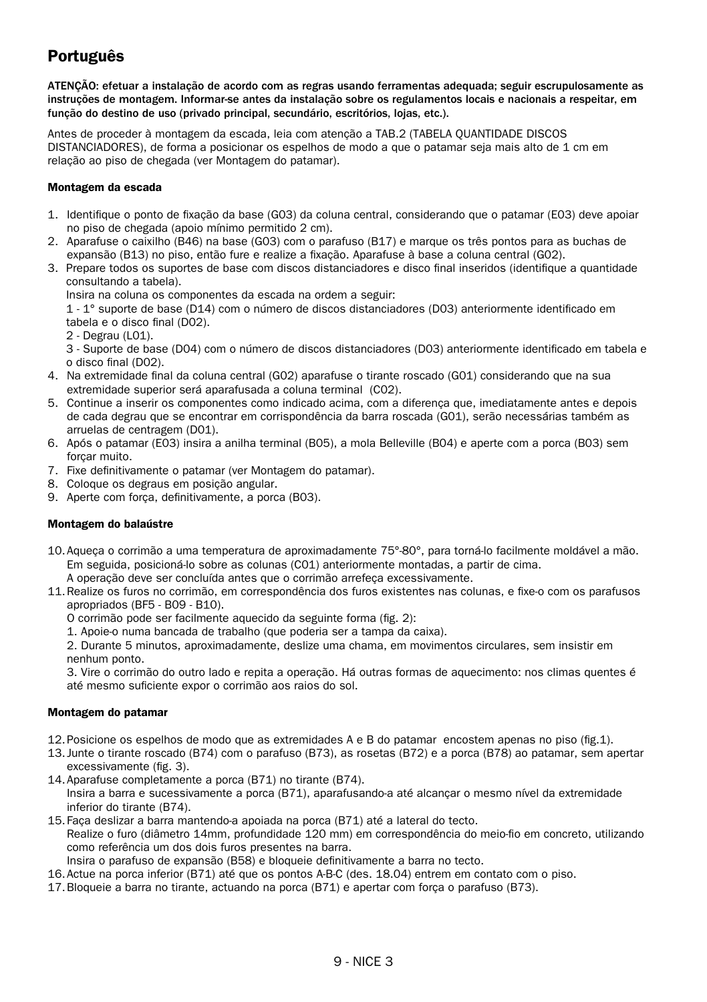# Português

ATENÇÃO: efetuar a instalação de acordo com as regras usando ferramentas adequada; seguir escrupulosamente as instruções de montagem. Informar-se antes da instalação sobre os regulamentos locais e nacionais a respeitar, em função do destino de uso (privado principal, secundário, escritórios, lojas, etc.).

Antes de proceder à montagem da escada, leia com atenção a TAB.2 (TABELA QUANTIDADE DISCOS DISTANCIADORES), de forma a posicionar os espelhos de modo a que o patamar seja mais alto de 1 cm em relação ao piso de chegada (ver Montagem do patamar).

#### Montagem da escada

- 1. Identifique o ponto de fixação da base (G03) da coluna central, considerando que o patamar (E03) deve apoiar no piso de chegada (apoio mínimo permitido 2 cm).
- 2. Aparafuse o caixilho (B46) na base (G03) com o parafuso (B17) e marque os três pontos para as buchas de expansão (B13) no piso, então fure e realize a fixação. Aparafuse à base a coluna central (G02).
- 3. Prepare todos os suportes de base com discos distanciadores e disco final inseridos (identifique a quantidade consultando a tabela).

Insira na coluna os componentes da escada na ordem a seguir:

1 - 1° suporte de base (D14) com o número de discos distanciadores (D03) anteriormente identificado em tabela e o disco final (D02).

2 - Degrau (L01).

3 - Suporte de base (D04) com o número de discos distanciadores (D03) anteriormente identificado em tabela e o disco final (D02).

- 4. Na extremidade final da coluna central (G02) aparafuse o tirante roscado (G01) considerando que na sua extremidade superior será aparafusada a coluna terminal (C02).
- 5. Continue a inserir os componentes como indicado acima, com a diferença que, imediatamente antes e depois de cada degrau que se encontrar em corrispondência da barra roscada (G01), serão necessárias também as arruelas de centragem (D01).
- 6. Após o patamar (E03) insira a anilha terminal (B05), a mola Belleville (B04) e aperte com a porca (B03) sem forcar muito.
- 7. Fixe definitivamente o patamar (ver Montagem do patamar).
- 8. Coloque os degraus em posição angular.
- 9. Aperte com força, definitivamente, a porca (B03).

#### Montagem do balaústre

- 10.Aqueça o corrimão a uma temperatura de aproximadamente 75°-80°, para torná-lo facilmente moldável a mão. Em seguida, posicioná-lo sobre as colunas (C01) anteriormente montadas, a partir de cima. A operação deve ser concluída antes que o corrimão arrefeça excessivamente.
- 11.Realize os furos no corrimão, em correspondência dos furos existentes nas colunas, e fixe-o com os parafusos apropriados (BF5 - B09 - B10).
	- O corrimão pode ser facilmente aquecido da seguinte forma (fig. 2):
	- 1. Apoie-o numa bancada de trabalho (que poderia ser a tampa da caixa).

2. Durante 5 minutos, aproximadamente, deslize uma chama, em movimentos circulares, sem insistir em nenhum ponto.

3. Vire o corrimão do outro lado e repita a operação. Há outras formas de aquecimento: nos climas quentes é até mesmo suficiente expor o corrimão aos raios do sol.

#### Montagem do patamar

- 12.Posicione os espelhos de modo que as extremidades A e B do patamar encostem apenas no piso (fig.1).
- 13. Junte o tirante roscado (B74) com o parafuso (B73), as rosetas (B72) e a porca (B78) ao patamar, sem apertar excessivamente (fig. 3).
- 14.Aparafuse completamente a porca (B71) no tirante (B74). Insira a barra e sucessivamente a porca (B71), aparafusando-a até alcançar o mesmo nível da extremidade inferior do tirante (B74).
- 15.Faça deslizar a barra mantendo-a apoiada na porca (B71) até a lateral do tecto. Realize o furo (diâmetro 14mm, profundidade 120 mm) em correspondência do meio-fio em concreto, utilizando como referência um dos dois furos presentes na barra. Insira o parafuso de expansão (B58) e bloqueie definitivamente a barra no tecto.
- 16.Actue na porca inferior (B71) até que os pontos A-B-C (des. 18.04) entrem em contato com o piso.
- 17.Bloqueie a barra no tirante, actuando na porca (B71) e apertar com força o parafuso (B73).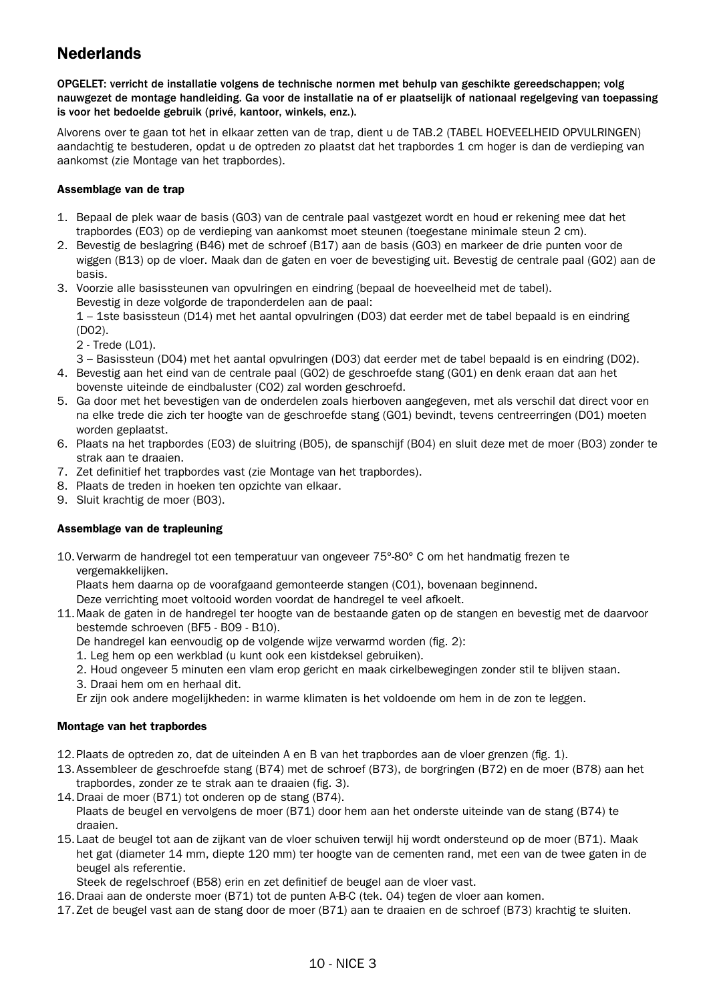# **Nederlands**

OPGELET: verricht de installatie volgens de technische normen met behulp van geschikte gereedschappen; volg nauwgezet de montage handleiding. Ga voor de installatie na of er plaatselijk of nationaal regelgeving van toepassing is voor het bedoelde gebruik (privé, kantoor, winkels, enz.).

Alvorens over te gaan tot het in elkaar zetten van de trap, dient u de TAB.2 (TABEL HOEVEELHEID OPVULRINGEN) aandachtig te bestuderen, opdat u de optreden zo plaatst dat het trapbordes 1 cm hoger is dan de verdieping van aankomst (zie Montage van het trapbordes).

#### Assemblage van de trap

- 1. Bepaal de plek waar de basis (G03) van de centrale paal vastgezet wordt en houd er rekening mee dat het trapbordes (E03) op de verdieping van aankomst moet steunen (toegestane minimale steun 2 cm).
- 2. Bevestig de beslagring (B46) met de schroef (B17) aan de basis (G03) en markeer de drie punten voor de wiggen (B13) op de vloer. Maak dan de gaten en voer de bevestiging uit. Bevestig de centrale paal (G02) aan de basis.
- 3. Voorzie alle basissteunen van opvulringen en eindring (bepaal de hoeveelheid met de tabel). Bevestig in deze volgorde de traponderdelen aan de paal: 1 – 1ste basissteun (D14) met het aantal opvulringen (D03) dat eerder met de tabel bepaald is en eindring

(D02).

2 - Trede (L01).

3 – Basissteun (D04) met het aantal opvulringen (D03) dat eerder met de tabel bepaald is en eindring (D02).

- 4. Bevestig aan het eind van de centrale paal (G02) de geschroefde stang (G01) en denk eraan dat aan het bovenste uiteinde de eindbaluster (C02) zal worden geschroefd.
- 5. Ga door met het bevestigen van de onderdelen zoals hierboven aangegeven, met als verschil dat direct voor en na elke trede die zich ter hoogte van de geschroefde stang (G01) bevindt, tevens centreerringen (D01) moeten worden geplaatst.
- 6. Plaats na het trapbordes (E03) de sluitring (B05), de spanschijf (B04) en sluit deze met de moer (B03) zonder te strak aan te draaien.
- 7. Zet definitief het trapbordes vast (zie Montage van het trapbordes).
- 8. Plaats de treden in hoeken ten opzichte van elkaar.
- 9. Sluit krachtig de moer (B03).

#### Assemblage van de trapleuning

10.Verwarm de handregel tot een temperatuur van ongeveer 75°-80° C om het handmatig frezen te vergemakkelijken.

Plaats hem daarna op de voorafgaand gemonteerde stangen (C01), bovenaan beginnend.

Deze verrichting moet voltooid worden voordat de handregel te veel afkoelt.

- 11.Maak de gaten in de handregel ter hoogte van de bestaande gaten op de stangen en bevestig met de daarvoor bestemde schroeven (BF5 - B09 - B10).
	- De handregel kan eenvoudig op de volgende wijze verwarmd worden (fig. 2):
	- 1. Leg hem op een werkblad (u kunt ook een kistdeksel gebruiken).
	- 2. Houd ongeveer 5 minuten een vlam erop gericht en maak cirkelbewegingen zonder stil te blijven staan.
	- 3. Draai hem om en herhaal dit.
	- Er zijn ook andere mogelijkheden: in warme klimaten is het voldoende om hem in de zon te leggen.

#### Montage van het trapbordes

- 12.Plaats de optreden zo, dat de uiteinden A en B van het trapbordes aan de vloer grenzen (fig. 1).
- 13.Assembleer de geschroefde stang (B74) met de schroef (B73), de borgringen (B72) en de moer (B78) aan het trapbordes, zonder ze te strak aan te draaien (fig. 3).
- 14.Draai de moer (B71) tot onderen op de stang (B74).

Plaats de beugel en vervolgens de moer (B71) door hem aan het onderste uiteinde van de stang (B74) te draaien.

- 15.Laat de beugel tot aan de zijkant van de vloer schuiven terwijl hij wordt ondersteund op de moer (B71). Maak het gat (diameter 14 mm, diepte 120 mm) ter hoogte van de cementen rand, met een van de twee gaten in de beugel als referentie.
	- Steek de regelschroef (B58) erin en zet definitief de beugel aan de vloer vast.
- 16.Draai aan de onderste moer (B71) tot de punten A-B-C (tek. 04) tegen de vloer aan komen.
- 17.Zet de beugel vast aan de stang door de moer (B71) aan te draaien en de schroef (B73) krachtig te sluiten.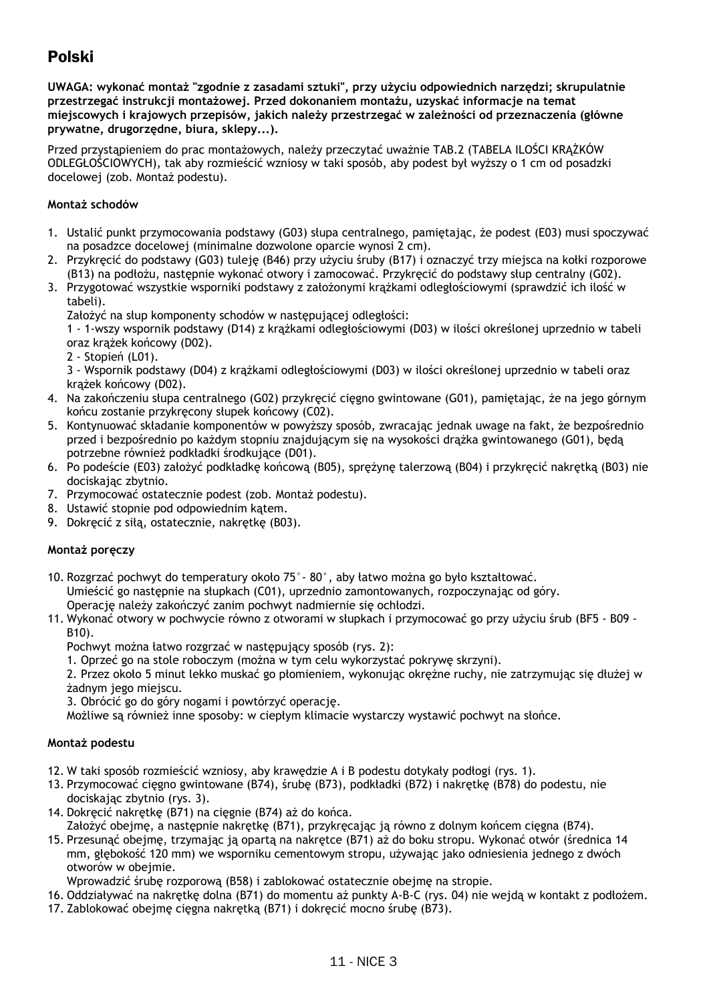# Polski

**UWAGA: wykonać montaż "zgodnie z zasadami sztuki", przy użyciu odpowiednich narzędzi; skrupulatnie przestrzegać instrukcji montażowej. Przed dokonaniem montażu, uzyskać informacje na temat miejscowych i krajowych przepisów, jakich należy przestrzegać w zależności od przeznaczenia (główne prywatne, drugorzędne, biura, sklepy...).**

Przed przystąpieniem do prac montażowych, należy przeczytać uważnie TAB.2 (TABELA ILOŚCI KRĄŻKÓW ODLEGŁOŚCIOWYCH), tak aby rozmieścić wzniosy w taki sposób, aby podest był wyższy o 1 cm od posadzki docelowej (zob. Montaż podestu).

#### **Montaż schodów**

- 1. Ustalić punkt przymocowania podstawy (G03) słupa centralnego, pamiętając, że podest (E03) musi spoczywać na posadzce docelowej (minimalne dozwolone oparcie wynosi 2 cm).
- 2. Przykręcić do podstawy (G03) tuleję (B46) przy użyciu śruby (B17) i oznaczyć trzy miejsca na kołki rozporowe (B13) na podłożu, następnie wykonać otwory i zamocować. Przykręcić do podstawy słup centralny (G02).
- 3. Przygotować wszystkie wsporniki podstawy z założonymi krążkami odległościowymi (sprawdzić ich ilość w tabeli).

Założyć na słup komponenty schodów w następującej odległości:

1 - 1-wszy wspornik podstawy (D14) z krążkami odległościowymi (D03) w ilości określonej uprzednio w tabeli oraz krążek końcowy (D02).

2 - Stopień (L01).

3 - Wspornik podstawy (D04) z krążkami odległościowymi (D03) w ilości określonej uprzednio w tabeli oraz krążek końcowy (D02).

- 4. Na zakończeniu słupa centralnego (G02) przykręcić cięgno gwintowane (G01), pamiętając, że na jego górnym końcu zostanie przykręcony słupek końcowy (C02).
- 5. Kontynuować składanie komponentów w powyższy sposób, zwracając jednak uwage na fakt, że bezpośrednio przed i bezpośrednio po każdym stopniu znajdującym się na wysokości drążka gwintowanego (G01), będą potrzebne również podkładki środkujące (D01).
- 6. Po podeście (E03) założyć podkładkę końcową (B05), sprężynę talerzową (B04) i przykręcić nakrętką (B03) nie dociskając zbytnio.
- 7. Przymocować ostatecznie podest (zob. Montaż podestu).
- 8. Ustawić stopnie pod odpowiednim katem.
- 9. Dokręcić z siłą, ostatecznie, nakrętkę (B03).

#### **Montaż poręczy**

- 10. Rozgrzać pochwyt do temperatury około 75°- 80°, aby łatwo można go było kształtować. Umieścić go następnie na słupkach (C01), uprzednio zamontowanych, rozpoczynając od góry. Operację należy zakończyć zanim pochwyt nadmiernie się ochłodzi.
- 11. Wykonać otwory w pochwycie równo z otworami w słupkach i przymocować go przy użyciu śrub (BF5 B09 B10).
	- Pochwyt można łatwo rozgrzać w następujący sposób (rys. 2):
	- 1. Oprzeć go na stole roboczym (można w tym celu wykorzystać pokrywę skrzyni).

2. Przez około 5 minut lekko muskać go płomieniem, wykonując okrężne ruchy, nie zatrzymując się dłużej w żadnym jego miejscu.

3. Obrócić go do góry nogami i powtórzyć operację.

Możliwe są również inne sposoby: w ciepłym klimacie wystarczy wystawić pochwyt na słońce.

#### **Montaż podestu**

- 12. W taki sposób rozmieścić wzniosy, aby krawędzie A i B podestu dotykały podłogi (rys. 1).
- 13. Przymocować cięgno gwintowane (B74), śrubę (B73), podkładki (B72) i nakrętkę (B78) do podestu, nie dociskając zbytnio (rys. 3).
- 14. Dokręcić nakrętkę (B71) na cięgnie (B74) aż do końca. Założyć obejmę, a następnie nakrętkę (B71), przykręcając ją równo z dolnym końcem cięgna (B74).
- 15. Przesunąć obejmę, trzymając ją opartą na nakrętce (B71) aż do boku stropu. Wykonać otwór (średnica 14 mm, głębokość 120 mm) we wsporniku cementowym stropu, używając jako odniesienia jednego z dwóch otworów w obejmie.

Wprowadzić śrubę rozporową (B58) i zablokować ostatecznie obejmę na stropie.

- 16. Oddziaływać na nakrętkę dolna (B71) do momentu aż punkty A-B-C (rys. 04) nie wejdą w kontakt z podłożem.
- 17. Zablokować obejmę cięgna nakrętką (B71) i dokręcić mocno śrubę (B73).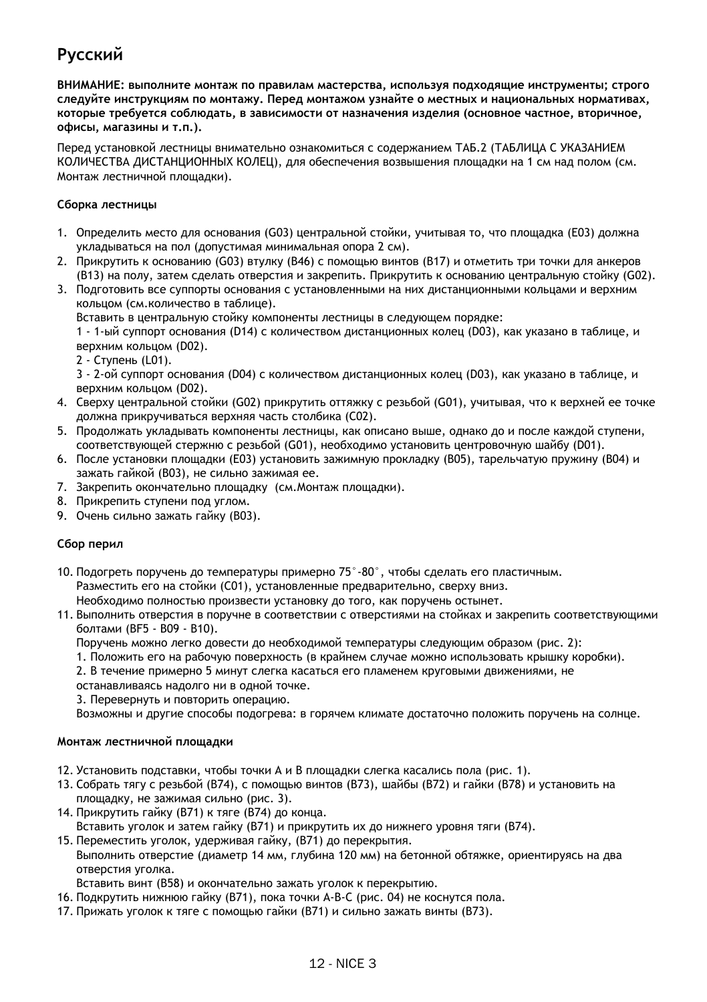# **Русский**

**ВНИМАНИЕ: выполните монтаж по правилам мастерства, используя подходящие инструменты; строго следуйте инструкциям по монтажу. Перед монтажом узнайте о местных и национальных нормативах, которые требуется соблюдать, в зависимости от назначения изделия (основное частное, вторичное, офисы, магазины и т.п.).**

Перед установкой лестницы внимательно ознакомиться с содержанием ТАБ.2 (ТАБЛИЦА С УКАЗАНИЕМ КОЛИЧЕСТВА ДИСТАНЦИОННЫХ КОЛЕЦ), для обеспечения возвышения площадки на 1 см над полом (см. Монтаж лестничной площадки).

#### **Сборка лестницы**

- 1. Определить место для основания (G03) центральной стойки, учитывая то, что площадка (E03) должна укладываться на пол (допустимая минимальная опора 2 см).
- 2. Прикрутить к основанию (G03) втулку (B46) с помощью винтов (B17) и отметить три точки для анкеров (B13) на полу, затем сделать отверстия и закрепить. Прикрутить к основанию центральную стойку (G02).
- 3. Подготовить все суппорты основания с установленными на них дистанционными кольцами и верхним кольцом (см.количество в таблице).

Вставить в центральную стойку компоненты лестницы в следующем порядке:

1 - 1-ый суппорт основания (D14) с количеством дистанционных колец (D03), как указано в таблице, и верхним кольцом (D02).

2 - Ступень (L01).

3 - 2-ой суппорт основания (D04) с количеством дистанционных колец (D03), как указано в таблице, и верхним кольцом (D02).

- 4. Сверху центральной стойки (G02) прикрутить оттяжку с резьбой (G01), учитывая, что к верхней ее точке должна прикручиваться верхняя часть столбика (C02).
- 5. Продолжать укладывать компоненты лестницы, как описано выше, однако до и после каждой ступени, соответствующей стержню с резьбой (G01), необходимо установить центровочную шайбу (D01).
- 6. После установки площадки (E03) установить зажимную прокладку (B05), тарельчатую пружину (B04) и зажать гайкой (B03), не сильно зажимая ее.
- 7. Закрепить окончательно площадку (см.Монтаж площадки).
- 8. Прикрепить ступени под углом.
- 9. Очень сильно зажать гайку (B03).

#### **Сбор перил**

10. Подогреть поручень до температуры примерно 75°-80°, чтобы сделать его пластичным. Разместить его на стойки (C01), установленные предварительно, сверху вниз. Необходимо полностью произвести установку до того, как поручень остынет.

11. Выполнить отверстия в поручне в соответствии с отверстиями на стойках и закрепить соответствующими болтами (BF5 - B09 - B10).

Поручень можно легко довести до необходимой температуры следующим образом (рис. 2):

- 1. Положить его на рабочую поверхность (в крайнем случае можно использовать крышку коробки).
- 2. В течение примерно 5 минут слегка касаться его пламенем круговыми движениями, не
- останавливаясь надолго ни в одной точке.
- 3. Перевернуть и повторить операцию.

Возможны и другие способы подогрева: в горячем климате достаточно положить поручень на солнце.

#### **Монтаж лестничной площадки**

- 12. Установить подставки, чтобы точки А и В площадки слегка касались пола (рис. 1).
- 13. Собрать тягу с резьбой (B74), с помощью винтов (B73), шайбы (B72) и гайки (B78) и установить на площадку, не зажимая сильно (рис. 3).
- 14. Прикрутить гайку (B71) к тяге (B74) до конца. Вставить уголок и затем гайку (B71) и прикрутить их до нижнего уровня тяги (B74).
- 15. Переместить уголок, удерживая гайку, (В71) до перекрытия. Выполнить отверстие (диаметр 14 мм, глубина 120 мм) на бетонной обтяжке, ориентируясь на два отверстия уголка.

Вставить винт (B58) и окончательно зажать уголок к перекрытию.

- 16. Подкрутить нижнюю гайку (B71), пока точки A-B-C (рис. 04) не коснутся пола.
- 17. Прижать уголок к тяге с помощью гайки (В71) и сильно зажать винты (В73).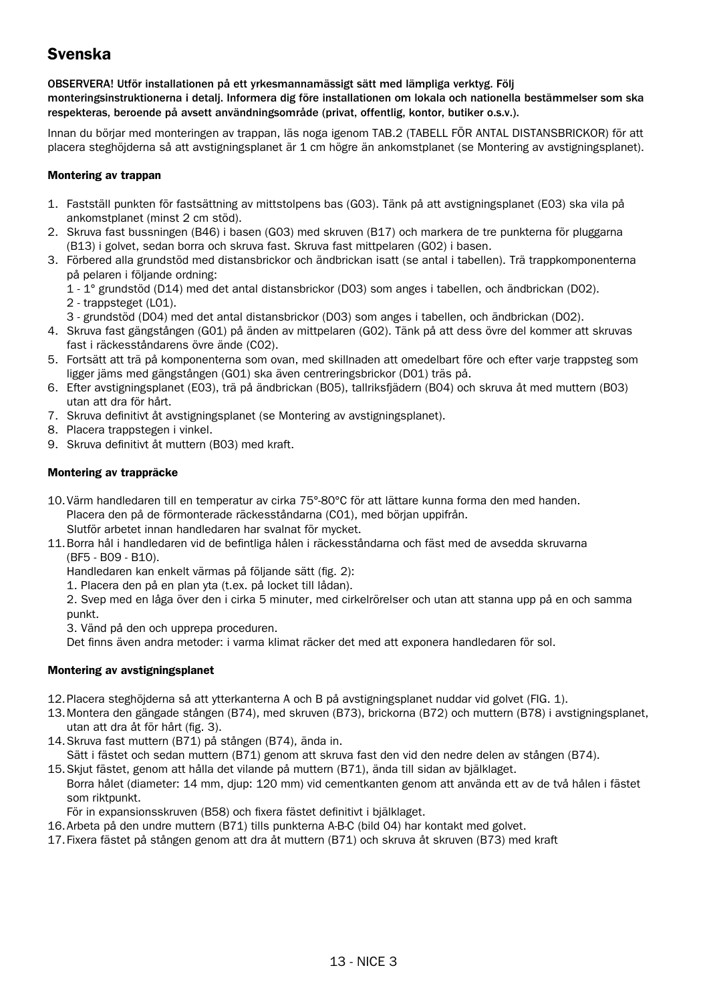# Svenska

OBSERVERA! Utför installationen på ett yrkesmannamässigt sätt med lämpliga verktyg. Följ monteringsinstruktionerna i detalj. Informera dig före installationen om lokala och nationella bestämmelser som ska respekteras, beroende på avsett användningsområde (privat, offentlig, kontor, butiker o.s.v.).

Innan du börjar med monteringen av trappan, läs noga igenom TAB.2 (TABELL FÖR ANTAL DISTANSBRICKOR) för att placera steghöjderna så att avstigningsplanet är 1 cm högre än ankomstplanet (se Montering av avstigningsplanet).

#### Montering av trannan

- 1. Fastställ punkten för fastsättning av mittstolpens bas (G03). Tänk på att avstigningsplanet (E03) ska vila på ankomstplanet (minst 2 cm stöd).
- 2. Skruva fast bussningen (B46) i basen (G03) med skruven (B17) och markera de tre punkterna för pluggarna (B13) i golvet, sedan borra och skruva fast. Skruva fast mittpelaren (G02) i basen.
- 3. Förbered alla grundstöd med distansbrickor och ändbrickan isatt (se antal i tabellen). Trä trappkomponenterna på pelaren i följande ordning:
	- 1 1° grundstöd (D14) med det antal distansbrickor (D03) som anges i tabellen, och ändbrickan (D02).

2 - trappsteget (L01).

- 3 grundstöd (D04) med det antal distansbrickor (D03) som anges i tabellen, och ändbrickan (D02).
- 4. Skruva fast gängstången (G01) på änden av mittpelaren (G02). Tänk på att dess övre del kommer att skruvas fast i räckesståndarens övre ände (C02).
- 5. Fortsätt att trä på komponenterna som ovan, med skillnaden att omedelbart före och efter varje trappsteg som ligger jäms med gängstången (G01) ska även centreringsbrickor (D01) träs på.
- 6. Efter avstigningsplanet (E03), trä på ändbrickan (B05), tallriksfjädern (B04) och skruva åt med muttern (B03) utan att dra för hårt.
- 7. Skruva definitivt åt avstigningsplanet (se Montering av avstigningsplanet).
- 8. Placera trappstegen i vinkel.
- 9. Skruva definitivt åt muttern (B03) med kraft.

#### Montering av trappräcke

10.Värm handledaren till en temperatur av cirka 75°-80°C för att lättare kunna forma den med handen. Placera den på de förmonterade räckesståndarna (C01), med början uppifrån.

Slutför arbetet innan handledaren har svalnat för mycket.

11.Borra hål i handledaren vid de befintliga hålen i räckesståndarna och fäst med de avsedda skruvarna (BF5 - B09 - B10).

Handledaren kan enkelt värmas på följande sätt (fig. 2):

1. Placera den på en plan yta (t.ex. på locket till lådan).

2. Svep med en låga över den i cirka 5 minuter, med cirkelrörelser och utan att stanna upp på en och samma punkt.

3. Vänd på den och upprepa proceduren.

Det finns även andra metoder: i varma klimat räcker det med att exponera handledaren för sol.

#### Montering av avstigningsplanet

- 12.Placera steghöjderna så att ytterkanterna A och B på avstigningsplanet nuddar vid golvet (FIG. 1).
- 13.Montera den gängade stången (B74), med skruven (B73), brickorna (B72) och muttern (B78) i avstigningsplanet, utan att dra åt för hårt (fig. 3).
- 14.Skruva fast muttern (B71) på stången (B74), ända in.
	- Sätt i fästet och sedan muttern (B71) genom att skruva fast den vid den nedre delen av stången (B74).
- 15.Skjut fästet, genom att hålla det vilande på muttern (B71), ända till sidan av bjälklaget. Borra hålet (diameter: 14 mm, djup: 120 mm) vid cementkanten genom att använda ett av de två hålen i fästet som riktnunkt.

För in expansionsskruven (B58) och fixera fästet definitivt i bjälklaget.

- 16.Arbeta på den undre muttern (B71) tills punkterna A-B-C (bild 04) har kontakt med golvet.
- 17.Fixera fästet på stången genom att dra åt muttern (B71) och skruva åt skruven (B73) med kraft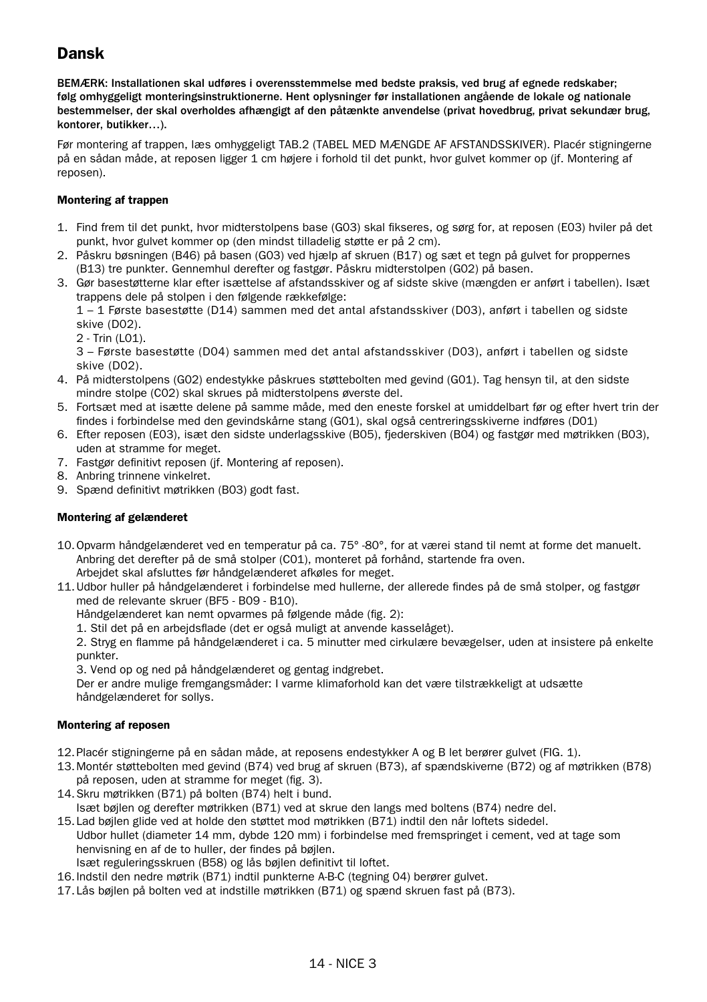# Dansk

BEMÆRK: Installationen skal udføres i overensstemmelse med bedste praksis, ved brug af egnede redskaber; følg omhyggeligt monteringsinstruktionerne. Hent oplysninger før installationen angående de lokale og nationale bestemmelser, der skal overholdes afhængigt af den påtænkte anvendelse (privat hovedbrug, privat sekundær brug, kontorer, butikker…).

Før montering af trappen, læs omhyggeligt TAB.2 (TABEL MED MÆNGDE AF AFSTANDSSKIVER). Placér stigningerne på en sådan måde, at reposen ligger 1 cm højere i forhold til det punkt, hvor gulvet kommer op (jf. Montering af reposen).

#### Montering af trappen

- 1. Find frem til det punkt, hvor midterstolpens base (G03) skal fikseres, og sørg for, at reposen (E03) hviler på det punkt, hvor gulvet kommer op (den mindst tilladelig støtte er på 2 cm).
- 2. Påskru bøsningen (B46) på basen (G03) ved hjælp af skruen (B17) og sæt et tegn på gulvet for proppernes (B13) tre punkter. Gennemhul derefter og fastgør. Påskru midterstolpen (G02) på basen.
- 3. Gør basestøtterne klar efter isættelse af afstandsskiver og af sidste skive (mængden er anført i tabellen). Isæt trappens dele på stolpen i den følgende rækkefølge:

1 – 1 Første basestøtte (D14) sammen med det antal afstandsskiver (D03), anført i tabellen og sidste skive (D02).

2 - Trin (L01).

3 – Første basestøtte (D04) sammen med det antal afstandsskiver (D03), anført i tabellen og sidste skive (D02).

- 4. På midterstolpens (G02) endestykke påskrues støttebolten med gevind (G01). Tag hensyn til, at den sidste mindre stolpe (C02) skal skrues på midterstolpens øverste del.
- 5. Fortsæt med at isætte delene på samme måde, med den eneste forskel at umiddelbart før og efter hvert trin der findes i forbindelse med den gevindskårne stang (G01), skal også centreringsskiverne indføres (D01)
- 6. Efter reposen (E03), isæt den sidste underlagsskive (B05), fjederskiven (B04) og fastgør med møtrikken (B03), uden at stramme for meget.
- 7. Fastgør definitivt reposen (jf. Montering af reposen).
- 8. Anbring trinnene vinkelret.
- 9. Spænd definitivt møtrikken (B03) godt fast.

#### Montering af gelænderet

- 10.Opvarm håndgelænderet ved en temperatur på ca. 75° -80°, for at værei stand til nemt at forme det manuelt. Anbring det derefter på de små stolper (C01), monteret på forhånd, startende fra oven. Arbejdet skal afsluttes før håndgelænderet afkøles for meget.
- 11.Udbor huller på håndgelænderet i forbindelse med hullerne, der allerede findes på de små stolper, og fastgør med de relevante skruer (BF5 - B09 - B10).

Håndgelænderet kan nemt opvarmes på følgende måde (fig. 2):

1. Stil det på en arbejdsflade (det er også muligt at anvende kasselåget).

2. Stryg en flamme på håndgelænderet i ca. 5 minutter med cirkulære bevægelser, uden at insistere på enkelte punkter.

3. Vend op og ned på håndgelænderet og gentag indgrebet.

Der er andre mulige fremgangsmåder: I varme klimaforhold kan det være tilstrækkeligt at udsætte håndgelænderet for sollys.

#### Montering af reposen

- 12.Placér stigningerne på en sådan måde, at reposens endestykker A og B let berører gulvet (FIG. 1).
- 13.Montér støttebolten med gevind (B74) ved brug af skruen (B73), af spændskiverne (B72) og af møtrikken (B78) på reposen, uden at stramme for meget (fig. 3).
- 14.Skru møtrikken (B71) på bolten (B74) helt i bund. Isæt bøjlen og derefter møtrikken (B71) ved at skrue den langs med boltens (B74) nedre del.
- 15.Lad bøjlen glide ved at holde den støttet mod møtrikken (B71) indtil den når loftets sidedel. Udbor hullet (diameter 14 mm, dybde 120 mm) i forbindelse med fremspringet i cement, ved at tage som henvisning en af de to huller, der findes på bøjlen.
- Isæt reguleringsskruen (B58) og lås bøjlen definitivt til loftet.
- 16.Indstil den nedre møtrik (B71) indtil punkterne A-B-C (tegning 04) berører gulvet.
- 17.Lås bøjlen på bolten ved at indstille møtrikken (B71) og spænd skruen fast på (B73).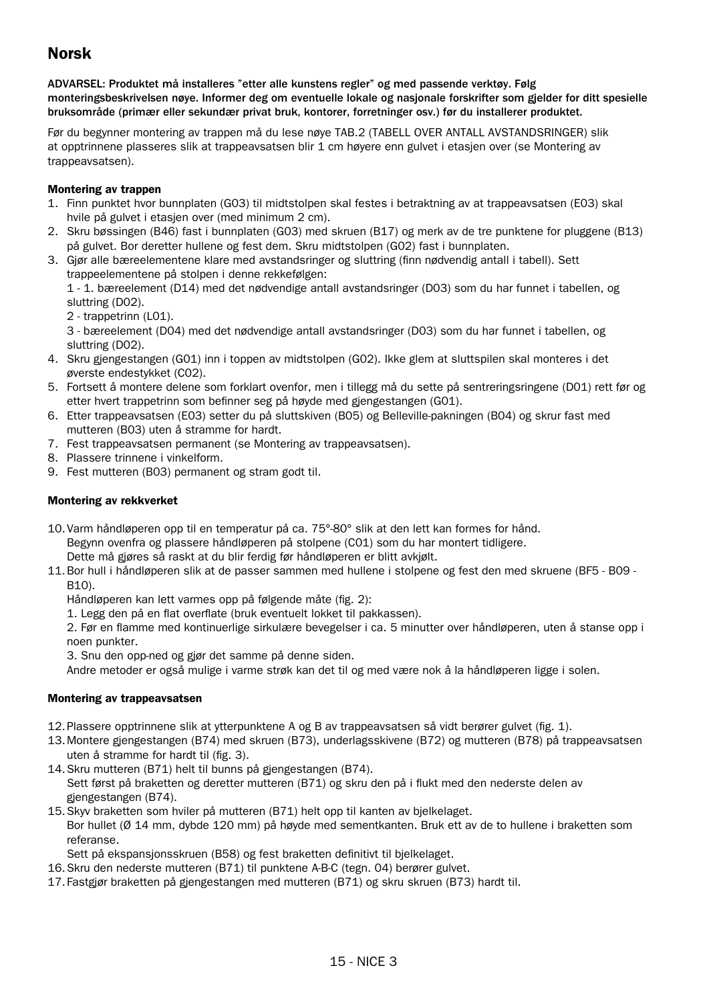# Norsk

ADVARSEL: Produktet må installeres "etter alle kunstens regler" og med passende verktøy. Følg monteringsbeskrivelsen nøye. Informer deg om eventuelle lokale og nasjonale forskrifter som gjelder for ditt spesielle bruksområde (primær eller sekundær privat bruk, kontorer, forretninger osv.) før du installerer produktet.

Før du begynner montering av trappen må du lese nøye TAB.2 (TABELL OVER ANTALL AVSTANDSRINGER) slik at opptrinnene plasseres slik at trappeavsatsen blir 1 cm høyere enn gulvet i etasjen over (se Montering av trappeavsatsen).

#### Montering av trappen

- 1. Finn punktet hvor bunnplaten (G03) til midtstolpen skal festes i betraktning av at trappeavsatsen (E03) skal hvile på gulvet i etasjen over (med minimum 2 cm).
- 2. Skru bøssingen (B46) fast i bunnplaten (G03) med skruen (B17) og merk av de tre punktene for pluggene (B13) på gulvet. Bor deretter hullene og fest dem. Skru midtstolpen (G02) fast i bunnplaten.
- 3. Gjør alle bæreelementene klare med avstandsringer og sluttring (finn nødvendig antall i tabell). Sett trappeelementene på stolpen i denne rekkefølgen:

1 - 1. bæreelement (D14) med det nødvendige antall avstandsringer (D03) som du har funnet i tabellen, og sluttring (D02).

2 - trappetrinn (L01).

3 - bæreelement (D04) med det nødvendige antall avstandsringer (D03) som du har funnet i tabellen, og sluttring (D02).

- 4. Skru gjengestangen (G01) inn i toppen av midtstolpen (G02). Ikke glem at sluttspilen skal monteres i det øverste endestykket (C02).
- 5. Fortsett å montere delene som forklart ovenfor, men i tillegg må du sette på sentreringsringene (D01) rett før og etter hvert trappetrinn som befinner seg på høyde med gjengestangen (G01).
- 6. Etter trappeavsatsen (E03) setter du på sluttskiven (B05) og Belleville-pakningen (B04) og skrur fast med mutteren (B03) uten å stramme for hardt.
- 7. Fest trappeavsatsen permanent (se Montering av trappeavsatsen).
- 8. Plassere trinnene i vinkelform.
- 9. Fest mutteren (B03) permanent og stram godt til.

#### Montering av rekkverket

10.Varm håndløperen opp til en temperatur på ca. 75°-80° slik at den lett kan formes for hånd. Begynn ovenfra og plassere håndløperen på stolpene (C01) som du har montert tidligere.

Dette må gjøres så raskt at du blir ferdig før håndløperen er blitt avkjølt.

11.Bor hull i håndløperen slik at de passer sammen med hullene i stolpene og fest den med skruene (BF5 - B09 - B10).

Håndløperen kan lett varmes opp på følgende måte (fig. 2):

1. Legg den på en flat overflate (bruk eventuelt lokket til pakkassen).

2. Før en flamme med kontinuerlige sirkulære bevegelser i ca. 5 minutter over håndløperen, uten å stanse opp i noen punkter.

3. Snu den opp-ned og gjør det samme på denne siden.

Andre metoder er også mulige i varme strøk kan det til og med være nok å la håndløperen ligge i solen.

#### Montering av trappeavsatsen

- 12.Plassere opptrinnene slik at ytterpunktene A og B av trappeavsatsen så vidt berører gulvet (fig. 1).
- 13.Montere gjengestangen (B74) med skruen (B73), underlagsskivene (B72) og mutteren (B78) på trappeavsatsen uten å stramme for hardt til (fig. 3).
- 14.Skru mutteren (B71) helt til bunns på gjengestangen (B74). Sett først på braketten og deretter mutteren (B71) og skru den på i flukt med den nederste delen av gjengestangen (B74).
- 15.Skyv braketten som hviler på mutteren (B71) helt opp til kanten av bjelkelaget. Bor hullet (Ø 14 mm, dybde 120 mm) på høyde med sementkanten. Bruk ett av de to hullene i braketten som referanse.
	- Sett på ekspansjonsskruen (B58) og fest braketten definitivt til bjelkelaget.
- 16.Skru den nederste mutteren (B71) til punktene A-B-C (tegn. 04) berører gulvet.
- 17.Fastgjør braketten på gjengestangen med mutteren (B71) og skru skruen (B73) hardt til.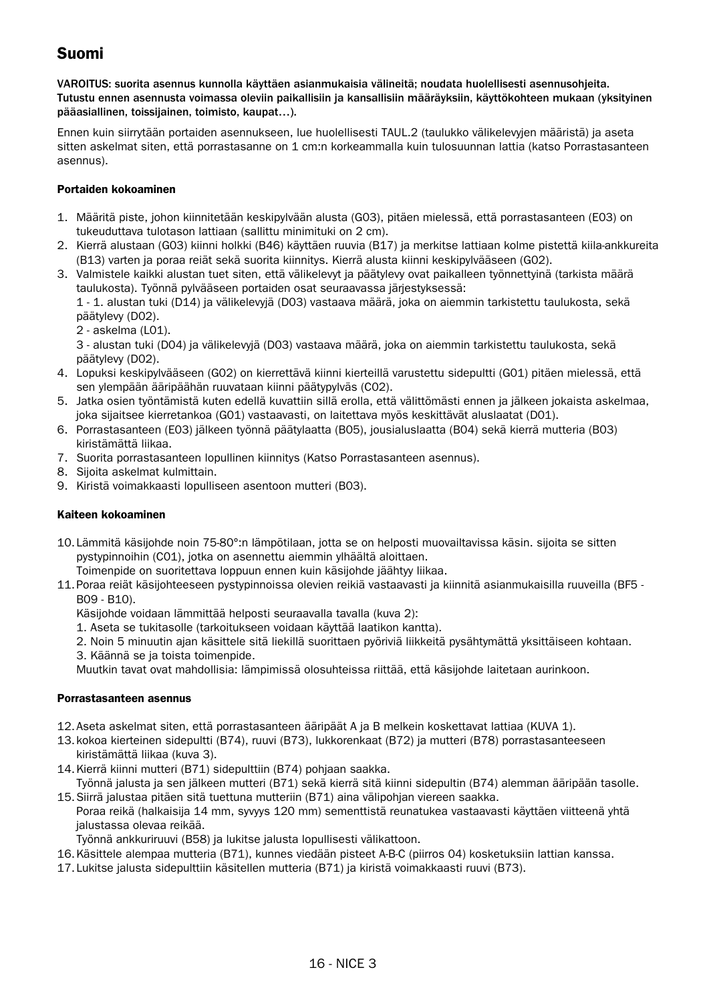# Suomi

VAROITUS: suorita asennus kunnolla käyttäen asianmukaisia välineitä; noudata huolellisesti asennusohjeita. Tutustu ennen asennusta voimassa oleviin paikallisiin ja kansallisiin määräyksiin, käyttökohteen mukaan (yksityinen pääasiallinen, toissijainen, toimisto, kaupat…).

Ennen kuin siirrytään portaiden asennukseen, lue huolellisesti TAUL.2 (taulukko välikelevyjen määristä) ja aseta sitten askelmat siten, että porrastasanne on 1 cm:n korkeammalla kuin tulosuunnan lattia (katso Porrastasanteen asennus).

#### Portaiden kokoaminen

- 1. Määritä piste, johon kiinnitetään keskipylvään alusta (G03), pitäen mielessä, että porrastasanteen (E03) on tukeuduttava tulotason lattiaan (sallittu minimituki on 2 cm).
- 2. Kierrä alustaan (G03) kiinni holkki (B46) käyttäen ruuvia (B17) ja merkitse lattiaan kolme pistettä kiila-ankkureita (B13) varten ja poraa reiät sekä suorita kiinnitys. Kierrä alusta kiinni keskipylvääseen (G02).
- 3. Valmistele kaikki alustan tuet siten, että välikelevyt ja päätylevy ovat paikalleen työnnettyinä (tarkista määrä taulukosta). Työnnä pylvääseen portaiden osat seuraavassa järjestyksessä:

1 - 1. alustan tuki (D14) ja välikelevyjä (D03) vastaava määrä, joka on aiemmin tarkistettu taulukosta, sekä päätylevy (D02).

2 - askelma (L01).

3 - alustan tuki (D04) ja välikelevyjä (D03) vastaava määrä, joka on aiemmin tarkistettu taulukosta, sekä päätylevy (D02).

- 4. Lopuksi keskipylvääseen (G02) on kierrettävä kiinni kierteillä varustettu sidepultti (G01) pitäen mielessä, että sen ylempään ääripäähän ruuvataan kiinni päätypylväs (C02).
- 5. Jatka osien työntämistä kuten edellä kuvattiin sillä erolla, että välittömästi ennen ja jälkeen jokaista askelmaa, joka sijaitsee kierretankoa (G01) vastaavasti, on laitettava myös keskittävät aluslaatat (D01).
- 6. Porrastasanteen (E03) jälkeen työnnä päätylaatta (B05), jousialuslaatta (B04) sekä kierrä mutteria (B03) kiristämättä liikaa.
- 7. Suorita porrastasanteen lopullinen kiinnitys (Katso Porrastasanteen asennus).
- 8. Sijoita askelmat kulmittain.
- 9. Kiristä voimakkaasti lopulliseen asentoon mutteri (B03).

#### Kaiteen kokoaminen

10.Lämmitä käsijohde noin 75-80°:n lämpötilaan, jotta se on helposti muovailtavissa käsin. sijoita se sitten pystypinnoihin (C01), jotka on asennettu aiemmin ylhäältä aloittaen.

Toimenpide on suoritettava loppuun ennen kuin käsijohde jäähtyy liikaa.

11.Poraa reiät käsijohteeseen pystypinnoissa olevien reikiä vastaavasti ja kiinnitä asianmukaisilla ruuveilla (BF5 - B09 - B10).

Käsijohde voidaan lämmittää helposti seuraavalla tavalla (kuva 2):

- 1. Aseta se tukitasolle (tarkoitukseen voidaan käyttää laatikon kantta).
- 2. Noin 5 minuutin ajan käsittele sitä liekillä suorittaen pyöriviä liikkeitä pysähtymättä yksittäiseen kohtaan.
- 3. Käännä se ja toista toimenpide.

Muutkin tavat ovat mahdollisia: lämpimissä olosuhteissa riittää, että käsijohde laitetaan aurinkoon.

#### Porrastasanteen asennus

- 12.Aseta askelmat siten, että porrastasanteen ääripäät A ja B melkein koskettavat lattiaa (KUVA 1).
- 13.kokoa kierteinen sidepultti (B74), ruuvi (B73), lukkorenkaat (B72) ja mutteri (B78) porrastasanteeseen kiristämättä liikaa (kuva 3).
- 14.Kierrä kiinni mutteri (B71) sidepulttiin (B74) pohjaan saakka.
- Työnnä jalusta ja sen jälkeen mutteri (B71) sekä kierrä sitä kiinni sidepultin (B74) alemman ääripään tasolle. 15.Siirrä jalustaa pitäen sitä tuettuna mutteriin (B71) aina välipohjan viereen saakka.

Poraa reikä (halkaisija 14 mm, syvyys 120 mm) sementtistä reunatukea vastaavasti käyttäen viitteenä yhtä jalustassa olevaa reikää.

Työnnä ankkuriruuvi (B58) ja lukitse jalusta lopullisesti välikattoon.

- 16.Käsittele alempaa mutteria (B71), kunnes viedään pisteet A-B-C (piirros 04) kosketuksiin lattian kanssa.
- 17.Lukitse jalusta sidepulttiin käsitellen mutteria (B71) ja kiristä voimakkaasti ruuvi (B73).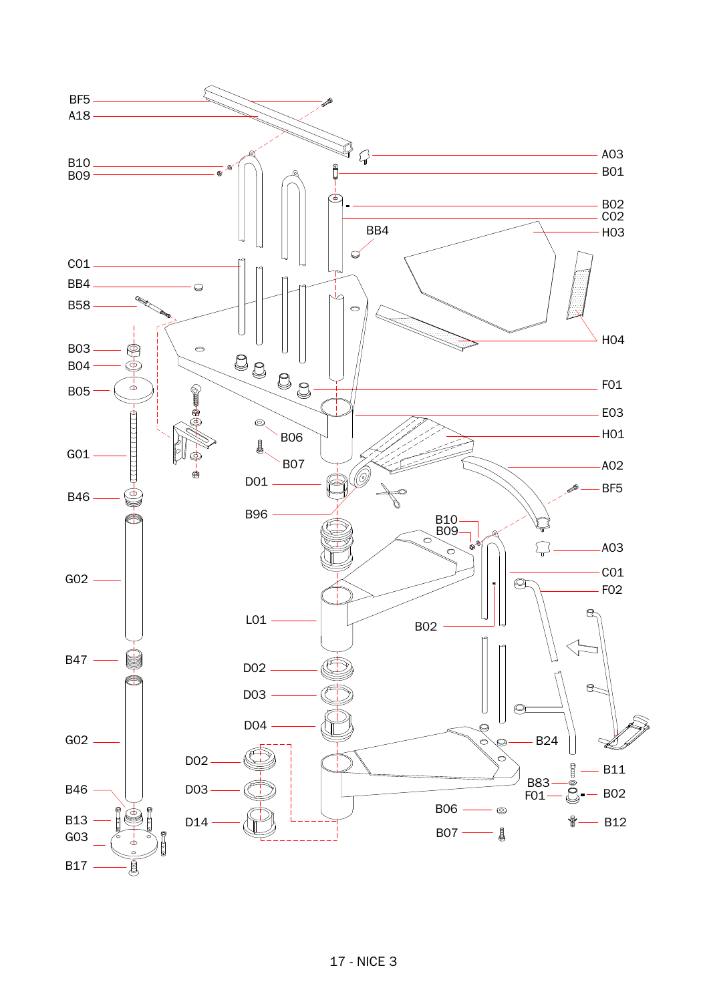

## 17 - NICE 3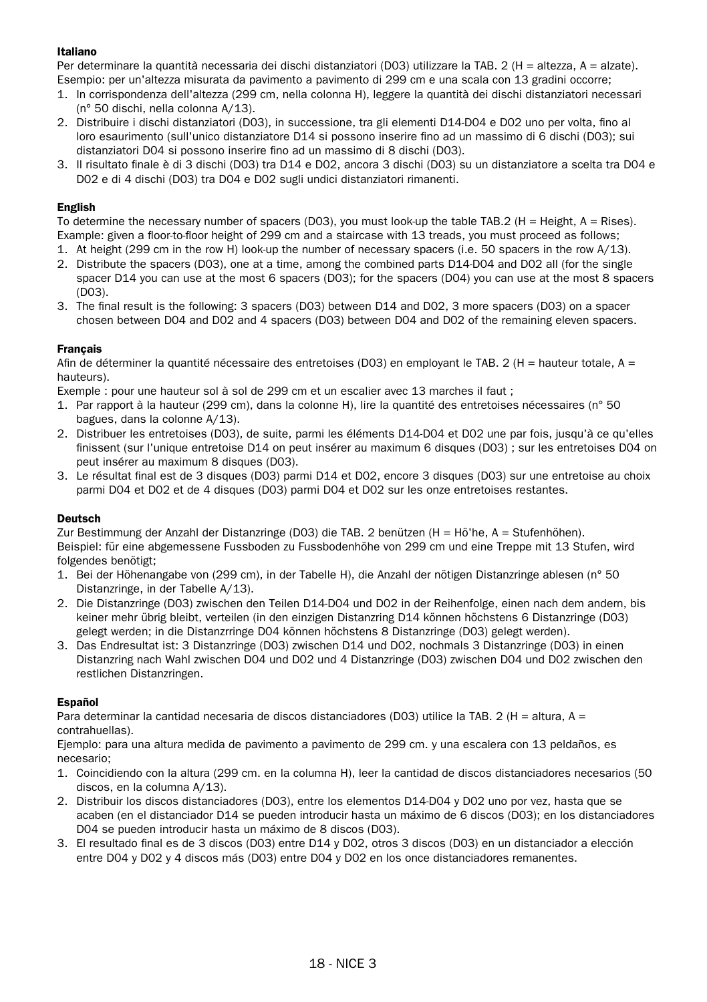#### Italiano

Per determinare la quantità necessaria dei dischi distanziatori (D03) utilizzare la TAB. 2 (H = altezza, A = alzate). Esempio: per un'altezza misurata da pavimento a pavimento di 299 cm e una scala con 13 gradini occorre;

- 1. In corrispondenza dell'altezza (299 cm, nella colonna H), leggere la quantità dei dischi distanziatori necessari (n° 50 dischi, nella colonna A/13).
- 2. Distribuire i dischi distanziatori (D03), in successione, tra gli elementi D14-D04 e D02 uno per volta, fino al loro esaurimento (sull'unico distanziatore D14 si possono inserire fino ad un massimo di 6 dischi (D03); sui distanziatori D04 si possono inserire fino ad un massimo di 8 dischi (D03).
- 3. Il risultato finale è di 3 dischi (D03) tra D14 e D02, ancora 3 dischi (D03) su un distanziatore a scelta tra D04 e D02 e di 4 dischi (D03) tra D04 e D02 sugli undici distanziatori rimanenti.

#### English

To determine the necessary number of spacers (D03), you must look-up the table TAB.2 (H = Height, A = Rises). Example: given a floor-to-floor height of 299 cm and a staircase with 13 treads, you must proceed as follows;

- 1. At height (299 cm in the row H) look-up the number of necessary spacers (i.e. 50 spacers in the row A/13).
- 2. Distribute the spacers (D03), one at a time, among the combined parts D14-D04 and D02 all (for the single spacer D14 you can use at the most 6 spacers (D03); for the spacers (D04) you can use at the most 8 spacers (D03).
- 3. The final result is the following: 3 spacers (D03) between D14 and D02, 3 more spacers (D03) on a spacer chosen between D04 and D02 and 4 spacers (D03) between D04 and D02 of the remaining eleven spacers.

#### Français

Afin de déterminer la quantité nécessaire des entretoises (D03) en employant le TAB. 2 (H = hauteur totale, A = hauteurs).

Exemple : pour une hauteur sol à sol de 299 cm et un escalier avec 13 marches il faut ;

- 1. Par rapport à la hauteur (299 cm), dans la colonne H), lire la quantité des entretoises nécessaires (n° 50 bagues, dans la colonne A/13).
- 2. Distribuer les entretoises (D03), de suite, parmi les éléments D14-D04 et D02 une par fois, jusqu'à ce qu'elles finissent (sur l'unique entretoise D14 on peut insérer au maximum 6 disques (D03) ; sur les entretoises D04 on peut insérer au maximum 8 disques (D03).
- 3. Le résultat final est de 3 disques (D03) parmi D14 et D02, encore 3 disques (D03) sur une entretoise au choix parmi D04 et D02 et de 4 disques (D03) parmi D04 et D02 sur les onze entretoises restantes.

#### Deutsch

Zur Bestimmung der Anzahl der Distanzringe (D03) die TAB. 2 benützen (H = Hö'he, A = Stufenhöhen). Beispiel: für eine abgemessene Fussboden zu Fussbodenhöhe von 299 cm und eine Treppe mit 13 Stufen, wird folgendes benötigt;

- 1. Bei der Höhenangabe von (299 cm), in der Tabelle H), die Anzahl der nötigen Distanzringe ablesen (n° 50 Distanzringe, in der Tabelle A/13).
- 2. Die Distanzringe (D03) zwischen den Teilen D14-D04 und D02 in der Reihenfolge, einen nach dem andern, bis keiner mehr übrig bleibt, verteilen (in den einzigen Distanzring D14 können höchstens 6 Distanzringe (D03) gelegt werden; in die Distanzrringe D04 können höchstens 8 Distanzringe (D03) gelegt werden).
- 3. Das Endresultat ist: 3 Distanzringe (D03) zwischen D14 und D02, nochmals 3 Distanzringe (D03) in einen Distanzring nach Wahl zwischen D04 und D02 und 4 Distanzringe (D03) zwischen D04 und D02 zwischen den restlichen Distanzringen.

#### Español

Para determinar la cantidad necesaria de discos distanciadores (D03) utilice la TAB. 2 (H = altura, A = contrahuellas).

Ejemplo: para una altura medida de pavimento a pavimento de 299 cm. y una escalera con 13 peldaños, es necesario;

- 1. Coincidiendo con la altura (299 cm. en la columna H), leer la cantidad de discos distanciadores necesarios (50 discos, en la columna A/13).
- 2. Distribuir los discos distanciadores (D03), entre los elementos D14-D04 y D02 uno por vez, hasta que se acaben (en el distanciador D14 se pueden introducir hasta un máximo de 6 discos (D03); en los distanciadores D04 se pueden introducir hasta un máximo de 8 discos (D03).
- 3. El resultado final es de 3 discos (D03) entre D14 y D02, otros 3 discos (D03) en un distanciador a elección entre D04 y D02 y 4 discos más (D03) entre D04 y D02 en los once distanciadores remanentes.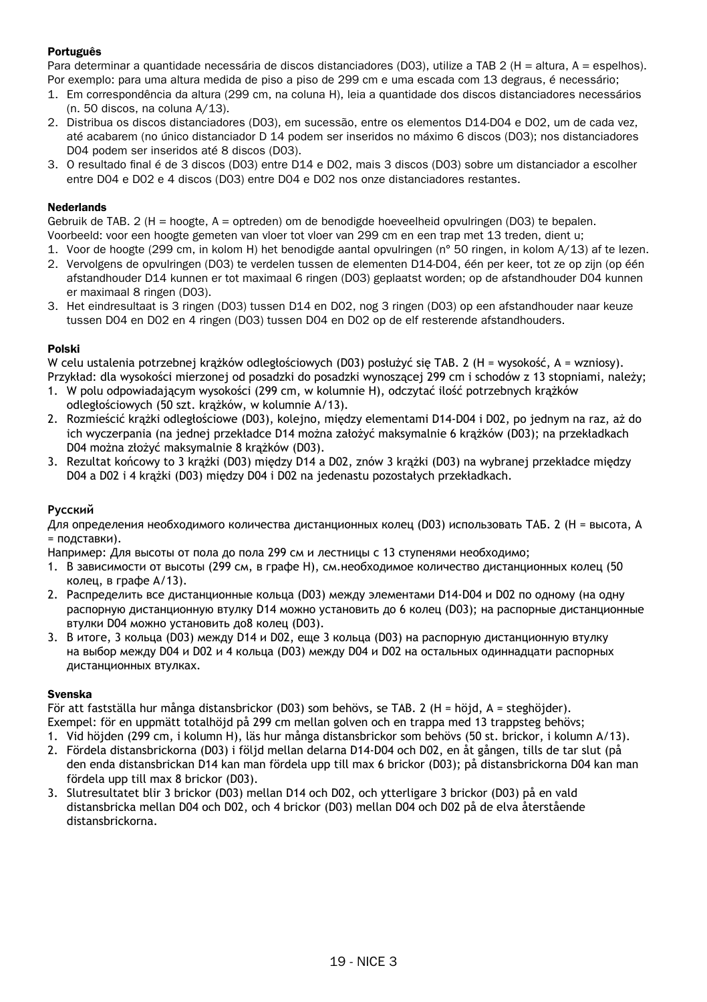#### Português

Para determinar a quantidade necessária de discos distanciadores (D03), utilize a TAB 2 (H = altura, A = espelhos). Por exemplo: para uma altura medida de piso a piso de 299 cm e uma escada com 13 degraus, é necessário;

- 1. Em correspondência da altura (299 cm, na coluna H), leia a quantidade dos discos distanciadores necessários (n. 50 discos, na coluna A/13).
- 2. Distribua os discos distanciadores (D03), em sucessão, entre os elementos D14-D04 e D02, um de cada vez, até acabarem (no único distanciador D 14 podem ser inseridos no máximo 6 discos (D03); nos distanciadores D04 podem ser inseridos até 8 discos (D03).
- 3. O resultado final é de 3 discos (D03) entre D14 e D02, mais 3 discos (D03) sobre um distanciador a escolher entre D04 e D02 e 4 discos (D03) entre D04 e D02 nos onze distanciadores restantes.

#### Nederlands

Gebruik de TAB. 2 (H = hoogte, A = optreden) om de benodigde hoeveelheid opvulringen (D03) te bepalen. Voorbeeld: voor een hoogte gemeten van vloer tot vloer van 299 cm en een trap met 13 treden, dient u;

- 1. Voor de hoogte (299 cm, in kolom H) het benodigde aantal opvulringen (n° 50 ringen, in kolom A/13) af te lezen.
- 2. Vervolgens de opvulringen (D03) te verdelen tussen de elementen D14-D04, één per keer, tot ze op zijn (op één afstandhouder D14 kunnen er tot maximaal 6 ringen (D03) geplaatst worden; op de afstandhouder D04 kunnen er maximaal 8 ringen (D03).
- 3. Het eindresultaat is 3 ringen (D03) tussen D14 en D02, nog 3 ringen (D03) op een afstandhouder naar keuze tussen D04 en D02 en 4 ringen (D03) tussen D04 en D02 op de elf resterende afstandhouders.

#### Polski

W celu ustalenia potrzebnej krążków odległościowych (D03) posłużyć się TAB. 2 (H = wysokość, A = wzniosy). Przykład: dla wysokości mierzonej od posadzki do posadzki wynoszącej 299 cm i schodów z 13 stopniami, należy;

- 1. W polu odpowiadającym wysokości (299 cm, w kolumnie H), odczytać ilość potrzebnych krążków odległościowych (50 szt. krążków, w kolumnie A/13).
- 2. Rozmieścić krążki odległościowe (D03), kolejno, między elementami D14-D04 i D02, po jednym na raz, aż do ich wyczerpania (na jednej przekładce D14 można założyć maksymalnie 6 krążków (D03); na przekładkach D04 można złożyć maksymalnie 8 krążków (D03).
- 3. Rezultat końcowy to 3 krążki (D03) między D14 a D02, znów 3 krążki (D03) na wybranej przekładce między D04 a D02 i 4 krążki (D03) między D04 i D02 na jedenastu pozostałych przekładkach.

#### **Русский**

Для определения необходимого количества дистанционных колец (D03) использовать ТАБ. 2 (H = высота, A  $=$  подставки).

Например: Для высоты от пола до пола 299 см и лестницы с 13 ступенями необходимо;

- 1. В зависимости от высоты (299 см, в графе H), см, необходимое количество дистанционных колец (50 колец, в графе A/13).
- 2. Распределить все дистанционные кольца (D03) между элементами D14-D04 и D02 по одному (на одну распорную дистанционную втулку D14 можно установить до 6 колец (D03); на распорные дистанционные втулки D04 можно установить до8 колец (D03).
- 3. В итоге, 3 кольца (D03) между D14 и D02, еще 3 кольца (D03) на распорную дистанционную втулку на выбор между D04 и D02 и 4 кольца (D03) между D04 и D02 на остальных одиннадцати распорных дистанционных втулках.

#### Svenska

För att fastställa hur många distansbrickor (D03) som behövs, se TAB. 2 (H = höjd, A = steghöjder). Exempel: för en uppmätt totalhöjd på 299 cm mellan golven och en trappa med 13 trappsteg behövs;

- 1. Vid höjden (299 cm, i kolumn H), läs hur många distansbrickor som behövs (50 st. brickor, i kolumn A/13).
- 2. Fördela distansbrickorna (D03) i följd mellan delarna D14-D04 och D02, en åt gången, tills de tar slut (på den enda distansbrickan D14 kan man fördela upp till max 6 brickor (D03); på distansbrickorna D04 kan man fördela upp till max 8 brickor (D03).
- 3. Slutresultatet blir 3 brickor (D03) mellan D14 och D02, och ytterligare 3 brickor (D03) på en vald distansbricka mellan D04 och D02, och 4 brickor (D03) mellan D04 och D02 på de elva återstående distansbrickorna.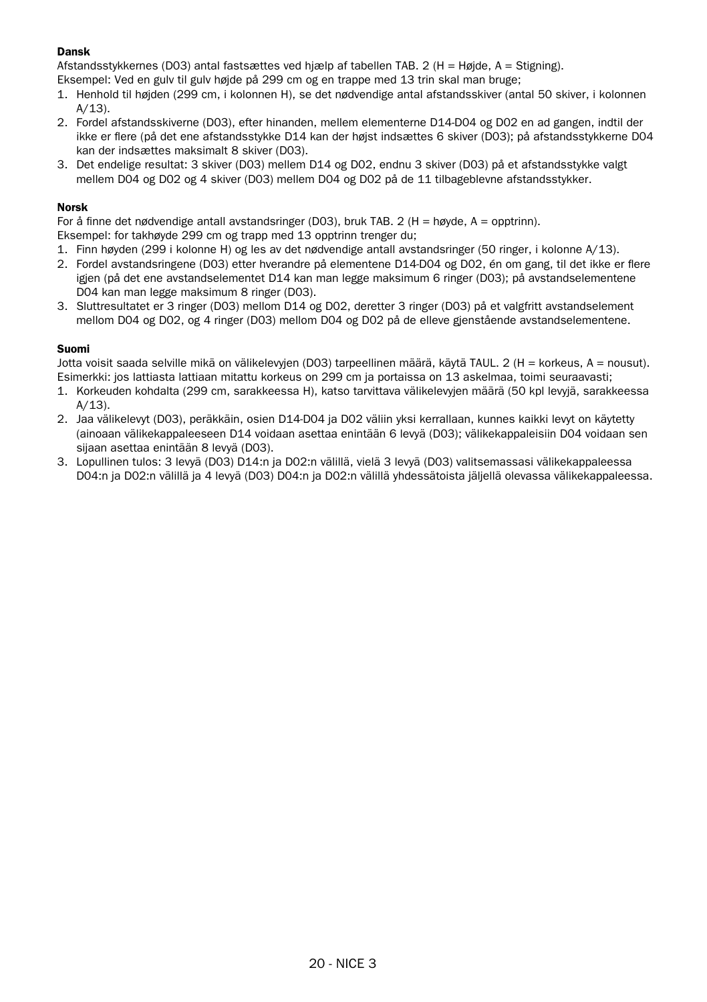#### Dansk

Afstandsstykkernes (D03) antal fastsættes ved hjælp af tabellen TAB. 2 (H = Højde, A = Stigning).

- Eksempel: Ved en gulv til gulv højde på 299 cm og en trappe med 13 trin skal man bruge;
- 1. Henhold til højden (299 cm, i kolonnen H), se det nødvendige antal afstandsskiver (antal 50 skiver, i kolonnen  $A/13$ ).
- 2. Fordel afstandsskiverne (D03), efter hinanden, mellem elementerne D14-D04 og D02 en ad gangen, indtil der ikke er flere (på det ene afstandsstykke D14 kan der højst indsættes 6 skiver (D03); på afstandsstykkerne D04 kan der indsættes maksimalt 8 skiver (D03).
- 3. Det endelige resultat: 3 skiver (D03) mellem D14 og D02, endnu 3 skiver (D03) på et afstandsstykke valgt mellem D04 og D02 og 4 skiver (D03) mellem D04 og D02 på de 11 tilbageblevne afstandsstykker.

#### Norsk

For å finne det nødvendige antall avstandsringer (DO3), bruk TAB, 2 (H = høyde, A = opptrinn).

Eksempel: for takhøyde 299 cm og trapp med 13 opptrinn trenger du;

- 1. Finn høyden (299 i kolonne H) og les av det nødvendige antall avstandsringer (50 ringer, i kolonne A/13).
- 2. Fordel avstandsringene (D03) etter hverandre på elementene D14-D04 og D02, én om gang, til det ikke er flere igjen (på det ene avstandselementet D14 kan man legge maksimum 6 ringer (D03); på avstandselementene D04 kan man legge maksimum 8 ringer (D03).
- 3. Sluttresultatet er 3 ringer (D03) mellom D14 og D02, deretter 3 ringer (D03) på et valgfritt avstandselement mellom D04 og D02, og 4 ringer (D03) mellom D04 og D02 på de elleve gjenstående avstandselementene.

#### Suomi

Jotta voisit saada selville mikä on välikelevyjen (D03) tarpeellinen määrä, käytä TAUL. 2 (H = korkeus, A = nousut). Esimerkki: jos lattiasta lattiaan mitattu korkeus on 299 cm ja portaissa on 13 askelmaa, toimi seuraavasti;

- 1. Korkeuden kohdalta (299 cm, sarakkeessa H), katso tarvittava välikelevyjen määrä (50 kpl levyjä, sarakkeessa A/13).
- 2. Jaa välikelevyt (D03), peräkkäin, osien D14-D04 ja D02 väliin yksi kerrallaan, kunnes kaikki levyt on käytetty (ainoaan välikekappaleeseen D14 voidaan asettaa enintään 6 levyä (D03); välikekappaleisiin D04 voidaan sen sijaan asettaa enintään 8 levyä (D03).
- 3. Lopullinen tulos: 3 levyä (D03) D14:n ja D02:n välillä, vielä 3 levyä (D03) valitsemassasi välikekappaleessa D04:n ja D02:n välillä ja 4 levyä (D03) D04:n ja D02:n välillä yhdessätoista jäljellä olevassa välikekappaleessa.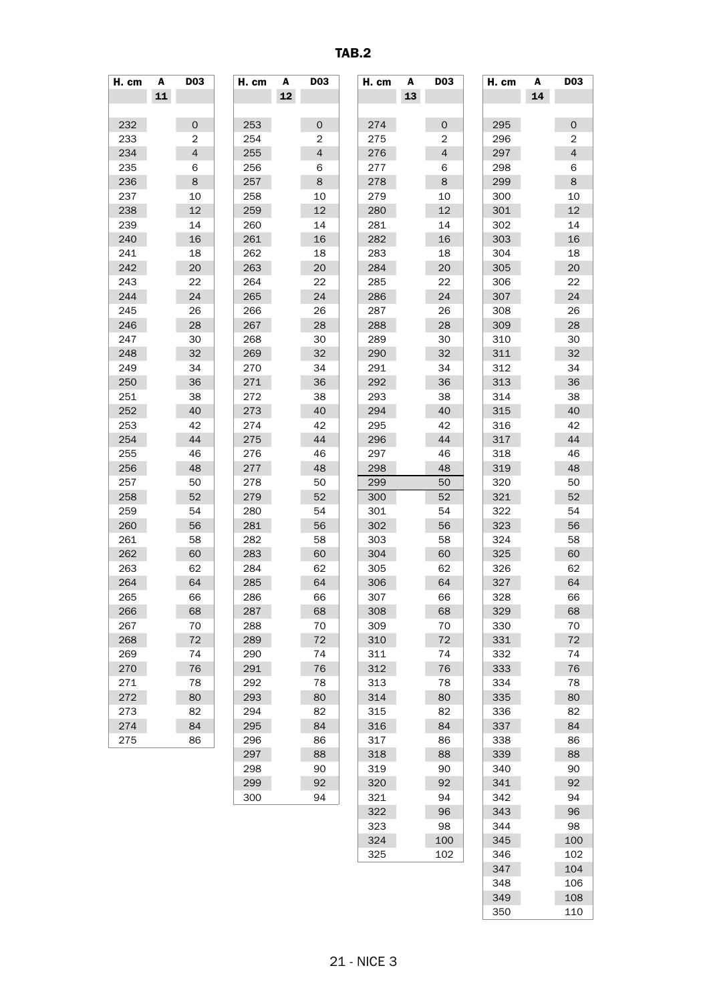TAB.2

| H. cm | A  | DO3            | H. cm | A  | DO3                 | H. cm | A  | DO3            | H. cm | A  | DO3                 |
|-------|----|----------------|-------|----|---------------------|-------|----|----------------|-------|----|---------------------|
|       | 11 |                |       | 12 |                     |       | 13 |                |       | 14 |                     |
|       |    |                |       |    |                     |       |    |                |       |    |                     |
|       |    |                |       |    |                     |       |    |                |       |    |                     |
| 232   |    | $\mathbf 0$    | 253   |    | $\mathsf{O}\xspace$ | 274   |    | $\mathbf 0$    | 295   |    | $\mathsf{O}\xspace$ |
| 233   |    | $\overline{2}$ | 254   |    | $\overline{2}$      | 275   |    | $\overline{2}$ | 296   |    | 2                   |
| 234   |    | $\overline{4}$ | 255   |    | 4                   | 276   |    | $\overline{4}$ | 297   |    | $\overline{4}$      |
| 235   |    | 6              | 256   |    | 6                   | 277   |    | 6              | 298   |    | 6                   |
| 236   |    | 8              | 257   |    | 8                   | 278   |    | 8              | 299   |    | 8                   |
| 237   |    | 10             | 258   |    | 10                  | 279   |    | 10             | 300   |    | 10                  |
| 238   |    | 12             | 259   |    | 12                  | 280   |    | 12             | 301   |    | 12                  |
| 239   |    | 14             | 260   |    | 14                  | 281   |    | 14             | 302   |    | 14                  |
| 240   |    | 16             | 261   |    | 16                  | 282   |    | 16             | 303   |    | 16                  |
| 241   |    | 18             | 262   |    | 18                  | 283   |    | 18             | 304   |    | 18                  |
| 242   |    | 20             | 263   |    | 20                  | 284   |    | 20             | 305   |    | 20                  |
| 243   |    | 22             | 264   |    | 22                  | 285   |    | 22             | 306   |    | 22                  |
| 244   |    | 24             | 265   |    | 24                  | 286   |    | 24             | 307   |    | 24                  |
| 245   |    | 26             | 266   |    | 26                  | 287   |    | 26             | 308   |    | 26                  |
| 246   |    | 28             | 267   |    | 28                  | 288   |    | 28             | 309   |    | 28                  |
| 247   |    | 30             | 268   |    | 30                  | 289   |    | 30             | 310   |    | 30                  |
| 248   |    | 32             | 269   |    | 32                  | 290   |    | 32             | 311   |    | 32                  |
| 249   |    | 34             | 270   |    | 34                  | 291   |    | 34             | 312   |    | 34                  |
| 250   |    | 36             | 271   |    | 36                  | 292   |    | 36             | 313   |    | 36                  |
| 251   |    | 38             | 272   |    | 38                  | 293   |    | 38             | 314   |    | 38                  |
| 252   |    | 40             | 273   |    | 40                  | 294   |    | 40             | 315   |    | 40                  |
|       |    |                |       |    |                     |       |    |                |       |    |                     |
| 253   |    | 42             | 274   |    | 42                  | 295   |    | 42             | 316   |    | 42                  |
| 254   |    | 44             | 275   |    | 44                  | 296   |    | 44             | 317   |    | 44                  |
| 255   |    | 46             | 276   |    | 46                  | 297   |    | 46             | 318   |    | 46                  |
| 256   |    | 48             | 277   |    | 48                  | 298   |    | 48             | 319   |    | 48                  |
| 257   |    | 50             | 278   |    | 50                  | 299   |    | 50             | 320   |    | 50                  |
| 258   |    | 52             | 279   |    | 52                  | 300   |    | 52             | 321   |    | 52                  |
| 259   |    | 54             | 280   |    | 54                  | 301   |    | 54             | 322   |    | 54                  |
| 260   |    | 56             | 281   |    | 56                  | 302   |    | 56             | 323   |    | 56                  |
| 261   |    | 58             | 282   |    | 58                  | 303   |    | 58             | 324   |    | 58                  |
| 262   |    | 60             | 283   |    | 60                  | 304   |    | 60             | 325   |    | 60                  |
| 263   |    | 62             | 284   |    | 62                  | 305   |    | 62             | 326   |    | 62                  |
| 264   |    | 64             | 285   |    | 64                  | 306   |    | 64             | 327   |    | 64                  |
| 265   |    | 66             | 286   |    | 66                  | 307   |    | 66             | 328   |    | 66                  |
| 266   |    | 68             | 287   |    | 68                  | 308   |    | 68             | 329   |    | 68                  |
| 267   |    | 70             | 288   |    | 70                  | 309   |    | 70             | 330   |    | 70                  |
| 268   |    | 72             | 289   |    | 72                  | 310   |    | 72             | 331   |    | 72                  |
| 269   |    | 74             | 290   |    | 74                  | 311   |    | 74             | 332   |    | 74                  |
| 270   |    | 76             | 291   |    | 76                  | 312   |    | 76             | 333   |    | 76                  |
| 271   |    | 78             | 292   |    | 78                  | 313   |    | 78             | 334   |    | 78                  |
| 272   |    | 80             | 293   |    | 80                  | 314   |    | 80             | 335   |    | 80                  |
| 273   |    | 82             | 294   |    | 82                  | 315   |    | 82             | 336   |    | 82                  |
| 274   |    | 84             | 295   |    | 84                  | 316   |    | 84             | 337   |    | 84                  |
| 275   |    | 86             | 296   |    | 86                  | 317   |    | 86             | 338   |    | 86                  |
|       |    |                |       |    | 88                  |       |    |                | 339   |    | 88                  |
|       |    |                | 297   |    |                     | 318   |    | 88             |       |    |                     |
|       |    |                | 298   |    | 90                  | 319   |    | 90             | 340   |    | 90                  |
|       |    |                | 299   |    | 92                  | 320   |    | 92             | 341   |    | 92                  |
|       |    |                | 300   |    | 94                  | 321   |    | 94             | 342   |    | 94                  |
|       |    |                |       |    |                     | 322   |    | 96             | 343   |    | 96                  |
|       |    |                |       |    |                     | 323   |    | 98             | 344   |    | 98                  |
|       |    |                |       |    |                     | 324   |    | 100            | 345   |    | 100                 |
|       |    |                |       |    |                     | 325   |    | 102            | 346   |    | 102                 |
|       |    |                |       |    |                     |       |    |                | 347   |    | 104                 |
|       |    |                |       |    |                     |       |    |                | 348   |    | 106                 |
|       |    |                |       |    |                     |       |    |                | 349   |    | 108                 |
|       |    |                |       |    |                     |       |    |                | 350   |    | 110                 |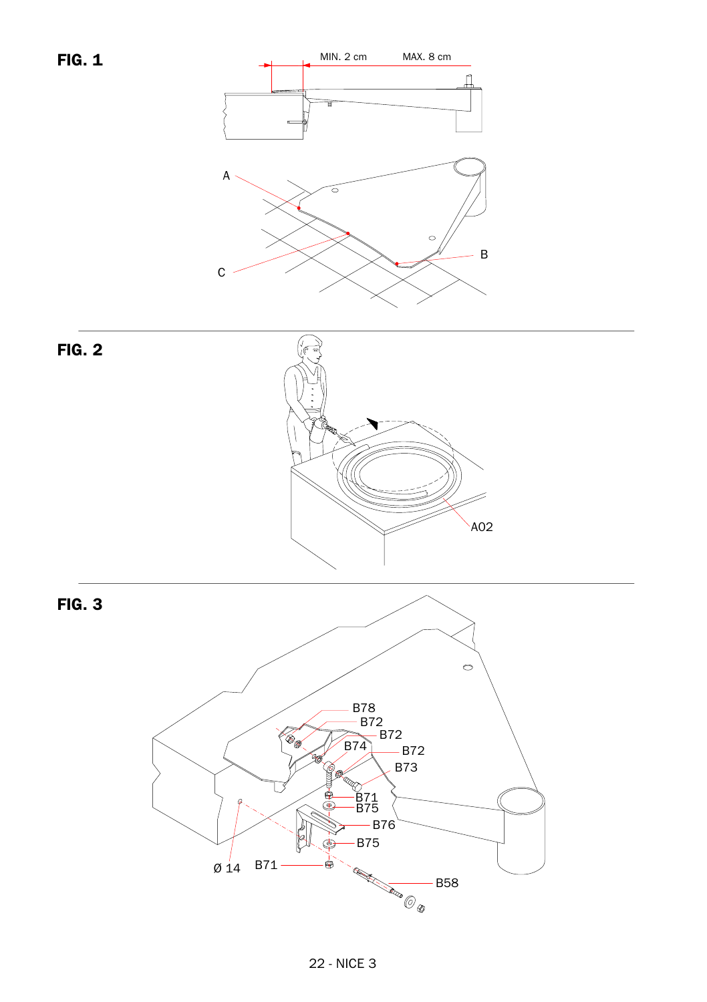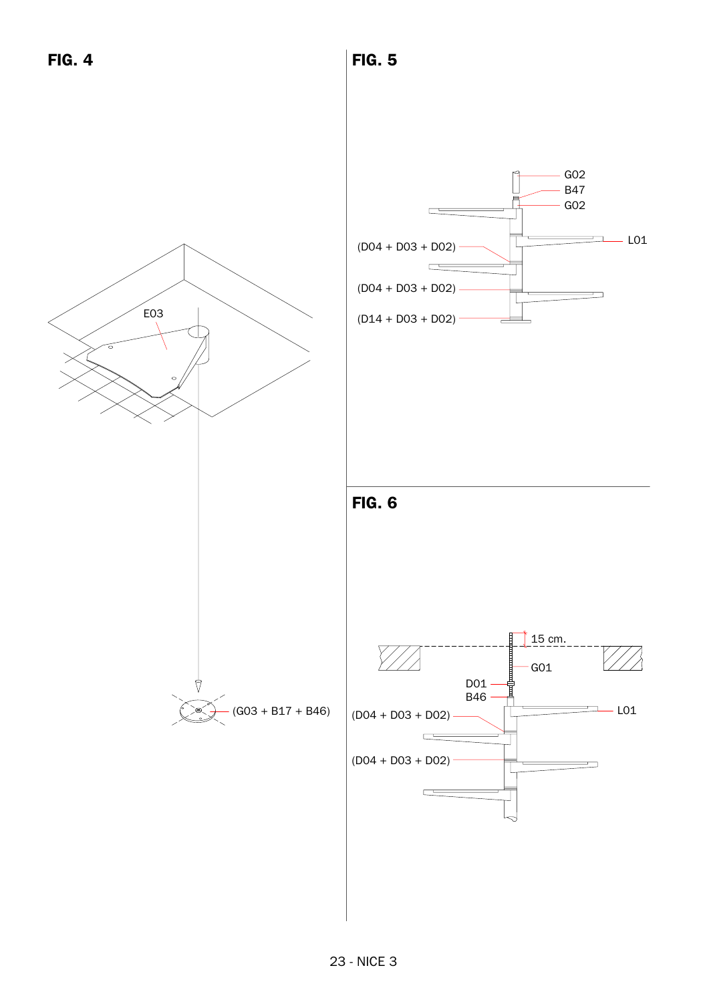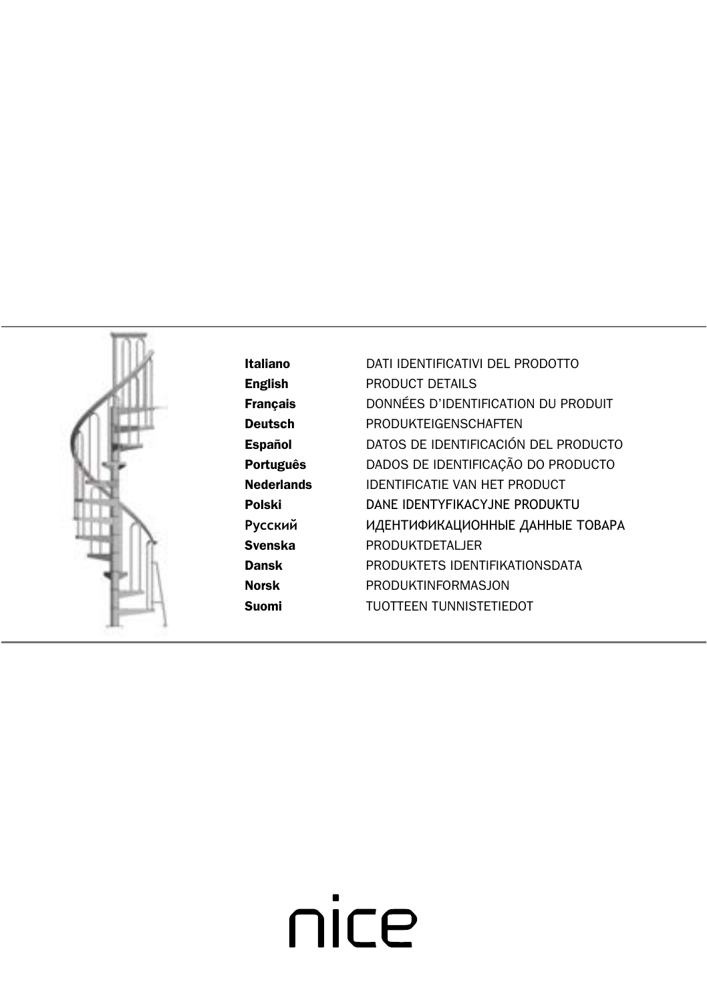

Italiano DATI IDENTIFICATIVI DEL PRODOTTO English PRODUCT DETAILS Français DONNÉES D'IDENTIFICATION DU PRODUIT Deutsch PRODUKTEIGENSCHAFTEN Español DATOS DE IDENTIFICACIÓN DEL PRODUCTO Português DADOS DE IDENTIFICAÇÃO DO PRODUCTO Nederlands IDENTIFICATIE VAN HET PRODUCT Polski DANE IDENTYFIKACYJNE PRODUKTU **Русский** ИДЕНТИФИКАЦИОННЫЕ ДАННЫЕ ТОВАРА Svenska PRODUKTDETALJER Dansk PRODUKTETS IDENTIFIKATIONSDATA Norsk PRODUKTINFORMASJON Suomi TUOTTEEN TUNNISTETIEDOT

# nice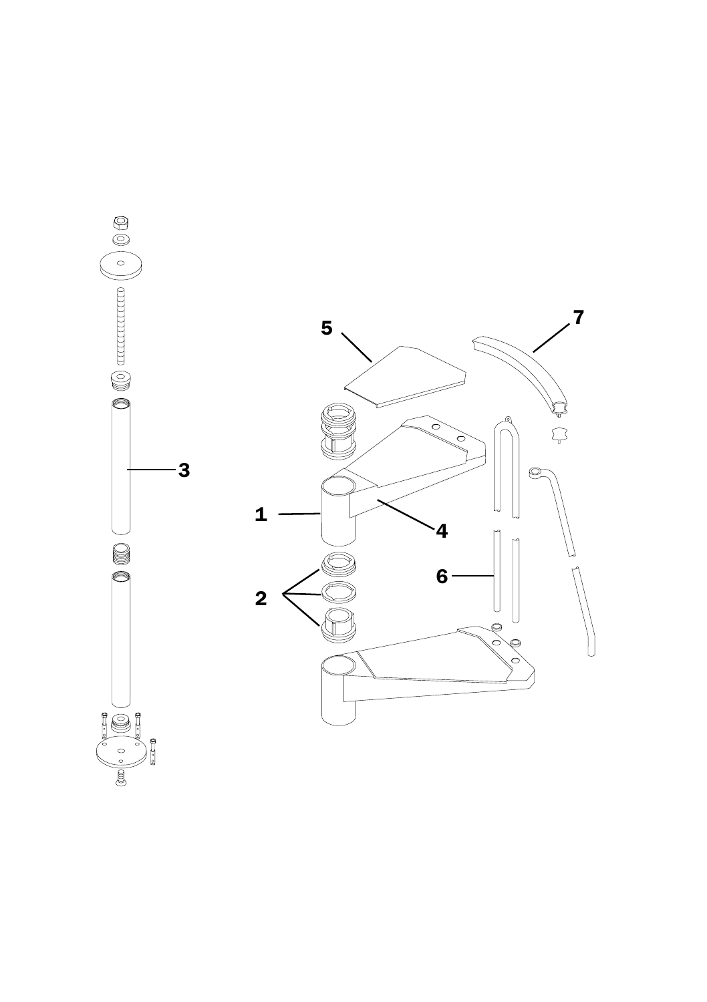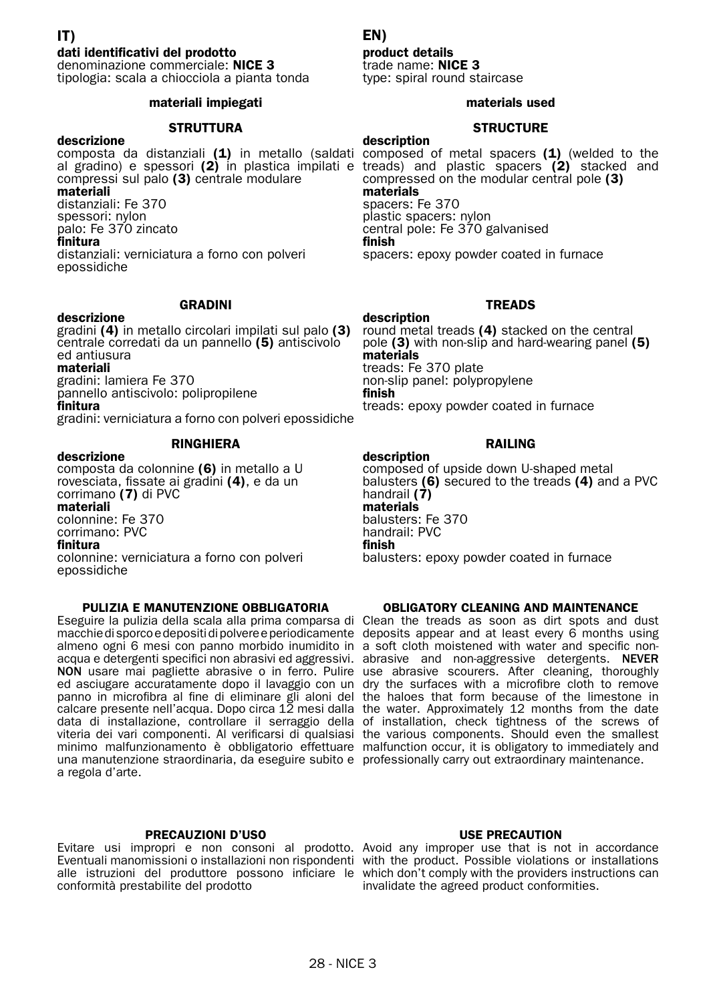#### dati identificativi del prodotto

denominazione commerciale: NICE 3 tipologia: scala a chiocciola a pianta tonda

#### materiali impiegati

#### **STRUTTURA**

descrizione compressi sul palo (3) centrale modulare materiali distanziali: Fe 370 spessori: nylon palo: Fe 370 zincato finitura distanziali: verniciatura a forno con polveri epossidiche

#### GRADINI

# descrizione

gradini (4) in metallo circolari impilati sul palo (3) centrale corredati da un pannello (5) antiscivolo ed antiusura materiali gradini: lamiera Fe 370 pannello antiscivolo: polipropilene

finitura

gradini: verniciatura a forno con polveri epossidiche

RINGHIERA

#### descrizione

composta da colonnine (6) in metallo a U rovesciata, fissate ai gradini (4), e da un corrimano (7) di PVC materiali colonnine: Fe 370 corrimano: PVC finitura colonnine: verniciatura a forno con polveri epossidiche

#### PULIZIA E MANUTENZIONE OBBLIGATORIA

Eseguire la pulizia della scala alla prima comparsa di Clean the treads as soon as dirt spots and dust macchie di sporco e depositi di polvere e periodicamente deposits appear and at least every 6 months using almeno ogni 6 mesi con panno morbido inumidito in a soft cloth moistened with water and specific nonacqua e detergenti specifici non abrasivi ed aggressivi. abrasive and non-aggressive detergents. NEVER NON usare mai pagliette abrasive o in ferro. Pulire use abrasive scourers. After cleaning, thoroughly ed asciugare accuratamente dopo il lavaggio con un dry the surfaces with a microfibre cloth to remove panno in microfibra al fine di eliminare gli aloni del the haloes that form because of the limestone in calcare presente nell'acqua. Dopo circa 12 mesi dalla the water. Approximately 12 months from the date data di installazione, controllare il serraggio della of installation, check tightness of the screws of<br>viteria dei vari componenti. Al verificarsi di qualsiasi the various components. Should even the smallest minimo malfunzionamento è obbligatorio effettuare malfunction occur, it is obligatory to immediately and una manutenzione straordinaria, da eseguire subito e professionally carry out extraordinary maintenance. a regola d'arte.

#### PRECAUZIONI D'USO

Evitare usi impropri e non consoni al prodotto. Avoid any improper use that is not in accordance Eventuali manomissioni o installazioni non rispondenti with the product. Possible violations or installations alle istruzioni del produttore possono inficiare le which don't comply with the providers instructions can conformità prestabilite del prodotto

## EN)

#### product details

trade name: NICE 3 type: spiral round staircase

#### materials used

## **STRUCTURE**

composta da distanziali (1) in metallo (saldati composed of metal spacers (1) (welded to the al gradino) e spessori (2) in plastica impilati e treads) and plastic spacers (2) stacked and description compressed on the modular central pole (3) materials spacers: Fe 370 plastic spacers: nylon central pole: Fe 370 galvanised finish spacers: epoxy powder coated in furnace

## TREADS

description round metal treads (4) stacked on the central pole (3) with non-slip and hard-wearing panel (5) materials treads: Fe 370 plate non-slip panel: polypropylene finish treads: epoxy powder coated in furnace

#### RAILING

description composed of upside down U-shaped metal balusters (6) secured to the treads (4) and a PVC handrail (7)<br>materials balusters: Fe 370 handrail: PVC finish balusters: epoxy powder coated in furnace

#### OBLIGATORY CLEANING AND MAINTENANCE

#### USE PRECAUTION

invalidate the agreed product conformities.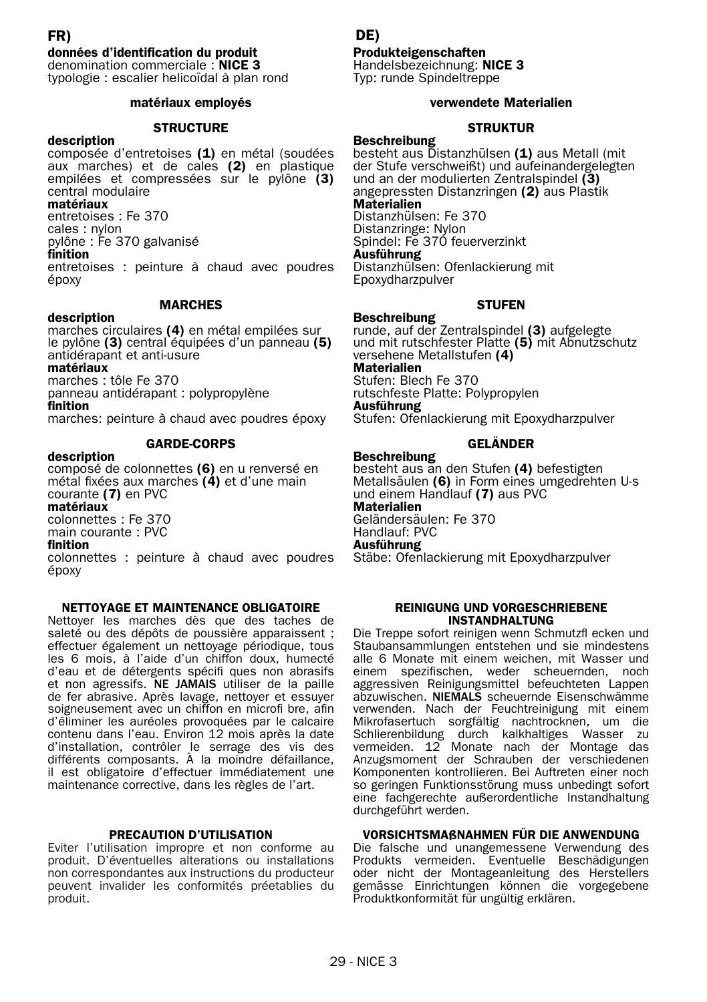## FR)

#### données d'identification du produit

denomination commerciale : NICE 3 typologie : escalier helicoïdal à plan rond

#### matériaux employés

#### **STRUCTURE**

description composée d'entretoises (1) en métal (soudées aux marches) et de cales (2) en plastique empilées et compressées sur le pylône (3) central modulaire

#### matériaux

entretoises : Fe 370 cales : nylon pylône : Fe 370 galvanisé

#### finition

entretoises : peinture à chaud avec poudres époxy

#### **MARCHES**

#### description

marches circulaires (4) en métal empilées sur le pylône (3) central équipées d'un panneau (5) antidérapant et anti-usure

matériaux

marches : tôle Fe 370

panneau antidérapant : polypropylène

finition

marches: peinture à chaud avec poudres époxy

#### GARDE-CORPS

#### description

composé de colonnettes (6) en u renversé en métal fixées aux marches (4) et d'une main courante (7) en PVC matériaux colonnettes : Fe 370 main courante : PVC

#### finition

colonnettes : peinture à chaud avec poudres époxy

#### NETTOYAGE ET MAINTENANCE OBLIGATOIRE

Nettoyer les marches dès que des taches de saleté ou des dépôts de poussière apparaissent ; effectuer également un nettoyage périodique, tous les 6 mois, à l'aide d'un chiffon doux, humecté d'eau et de détergents spécifi ques non abrasifs et non agressifs. NE JAMAIS utiliser de la paille de fer abrasive. Après lavage, nettoyer et essuyer soigneusement avec un chiffon en microfi bre, afin d'éliminer les auréoles provoquées par le calcaire contenu dans l'eau. Environ 12 mois après la date d'installation, contrôler le serrage des vis des différents composants. À la moindre défaillance, il est obligatoire d'effectuer immédiatement une maintenance corrective, dans les règles de l'art.

#### PRECAUTION D'UTILISATION

Eviter l'utilisation impropre et non conforme au produit. D'éventuelles alterations ou installations non correspondantes aux instructions du producteur peuvent invalider les conformités préetablies du produit.

#### DE)

#### Produkteigenschaften

Handelsbezeichnung: NICE 3 Typ: runde Spindeltreppe

#### verwendete Materialien

#### **STRUKTUR**

**Beschreibung** besteht aus Distanzhülsen (1) aus Metall (mit der Stufe verschweißt) und aufeinandergelegten und an der modulierten Zentralspindel (3) angepressten Distanzringen (2) aus Plastik Materialien

#### Distanzhülsen: Fe 370

Distanzringe: Nylon Spindel: Fe 370 feuerverzinkt Ausführung

Distanzhülsen: Ofenlackierung mit Epoxydharzpulver

#### **STUFFN**

**Beschreibung** runde, auf der Zentralspindel (3) aufgelegte und mit rutschfester Platte (5) mit Abnutzschutz versehene Metallstufen (4) Materialien Stufen: Blech Fe 370 rutschfeste Platte: Polypropylen Ausführung

Stufen: Ofenlackierung mit Epoxydharzpulver

#### GELÄNDER

Beschreibung besteht aus an den Stufen (4) befestigten Metallsäulen (6) in Form eines umgedrehten U-s und einem Handlauf (7) aus PVC Materialien

Geländersäulen: Fe 370 Handlauf: PVC Ausführung

Stäbe: Ofenlackierung mit Epoxydharzpulver

#### REINIGUNG UND VORGESCHRIEBENE INSTANDHALTUNG

Die Treppe sofort reinigen wenn Schmutzfl ecken und Staubansammlungen entstehen und sie mindestens alle 6 Monate mit einem weichen, mit Wasser und einem spezifischen, weder scheuernden, noch aggressiven Reinigungsmittel befeuchteten Lappen abzuwischen. NIEMALS scheuernde Eisenschwämme verwenden. Nach der Feuchtreinigung mit einem Mikrofasertuch sorgfältig nachtrocknen, um die Schlierenbildung durch kalkhaltiges Wasser zu vermeiden. 12 Monate nach der Montage das Anzugsmoment der Schrauben der verschiedenen Komponenten kontrollieren. Bei Auftreten einer noch so geringen Funktionsstörung muss unbedingt sofort eine fachgerechte außerordentliche Instandhaltung durchgeführt werden.

#### VORSICHTSMAßNAHMEN FÜR DIE ANWENDUNG

Die falsche und unangemessene Verwendung des Produkts vermeiden. Eventuelle Beschädigungen oder nicht der Montageanleitung des Herstellers gemässe Einrichtungen können die vorgegebene Produktkonformität für ungültig erklären.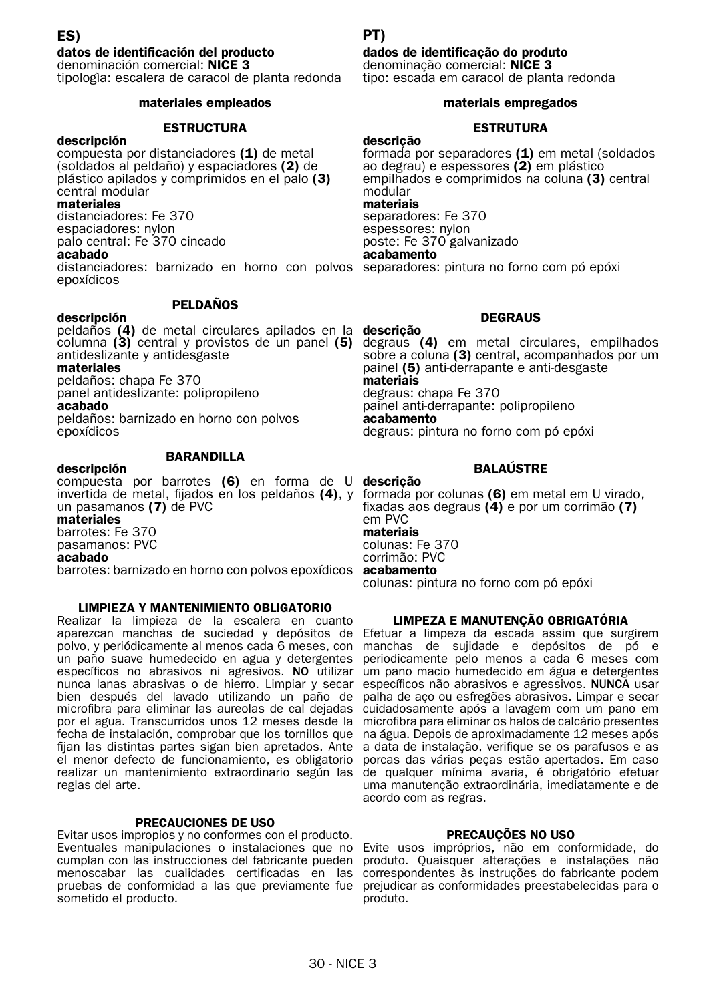#### datos de identificación del producto

denominación comercial: NICE 3 tipologìa: escalera de caracol de planta redonda

#### materiales empleados

#### **ESTRUCTURA**

descripción compuesta por distanciadores (1) de metal (soldados al peldaño) y espaciadores (2) de plástico apilados y comprimidos en el palo (3) central modular

#### materiales

distanciadores: Fe 370 espaciadores: nylon palo central: Fe 370 cincado acabado

distanciadores: barnizado en horno con polvos separadores: pintura no forno com pó epóxi epoxídicos

#### PELDAÑOS

#### descripción

peldaños (4) de metal circulares apilados en la descrição columna (3) central y provistos de un panel (5) degraus (4) em metal circulares, empilhados antideslizante y antidesgaste

#### materiales

peldaños: chapa Fe 370 panel antideslizante: polipropileno acabado peldaños: barnizado en horno con polvos epoxídicos

#### **BARANDILLA**

#### descripción

compuesta por barrotes (6) en forma de U descrição invertida de metal, fijados en los peldaños (4), y formada por colunas (6) em metal em U virado, un pasamanos (7) de PVC materiales

barrotes: Fe 370 pasamanos: PVC acabado

barrotes: barnizado en horno con polvos epoxídicos acabamento

#### LIMPIEZA Y MANTENIMIENTO OBLIGATORIO

Realizar la limpieza de la escalera en cuanto aparezcan manchas de suciedad y depósitos de Efetuar a limpeza da escada assim que surgirem polvo, y periódicamente al menos cada 6 meses, con manchas de sujidade e depósitos de pó e un paño suave humedecido en agua y detergentes periodicamente pelo menos a cada 6 meses com específicos no abrasivos ni agresivos. NO utilizar um pano macio humedecido em água e detergentes nunca lanas abrasivas o de hierro. Limpiar y secar específicos não abrasivos e agressivos. NUNCA usar nunca lanas abrasivas o de hierro. Limpiar y secar específicos não abrasivos e agressivos. NUNCA usar<br>bien después del lavado utilizando un paño de palha de aço ou esfregões abrasivos. Limpar e secar microfibra para eliminar las aureolas de cal dejadas cuidadosamente após a lavagem com um pano em por el agua. Transcurridos unos 12 meses desde la microfibra para eliminar os halos de calcário presentes fecha de instalación, comprobar que los tornillos que na água. Depois de aproximadamente 12 meses após fijan las distintas partes sigan bien apretados. Ante a data de instalação, verifique se os parafusos e as el menor defecto de funcionamiento, es obligatorio porcas das várias peças estão apertados. Em caso realizar un mantenimiento extraordinario según las de qualquer mínima avaria, é obrigatório efetuar reglas del arte.

#### PRECAUCIONES DE USO

Evitar usos impropios y no conformes con el producto. Eventuales manipulaciones o instalaciones que no Evite usos impróprios, não em conformidade, do cumplan con las instrucciones del fabricante pueden produto. Quaisquer alterações e instalações não menoscabar las cualidades certificadas en las correspondentes às instruções do fabricante podem pruebas de conformidad a las que previamente fue prejudicar as conformidades preestabelecidas para o sometido el producto.

#### PT)

#### dados de identificação do produto

denominação comercial: NICE 3 tipo: escada em caracol de planta redonda

#### materiais empregados

#### ESTRUTURA

descrição

formada por separadores  $(1)$  em metal (soldados ao degrau) e espessores (2) em plástico empilhados e comprimidos na coluna (3) central modular

#### materiais

separadores: Fe 370 espessores: nylon poste: Fe 370 galvanizado acabamento

#### **DEGRAUS**

sobre a coluna (3) central, acompanhados por um painel (5) anti-derrapante e anti-desgaste materiais degraus: chapa Fe 370 painel anti-derrapante: polipropileno acabamento

degraus: pintura no forno com pó epóxi

## BALAÚSTRE

fixadas aos degraus (4) e por um corrimão (7) em PVC materiais

#### colunas: Fe 370

corrimão: PVC

colunas: pintura no forno com pó epóxi

#### LIMPEZA E MANUTENÇÃO OBRIGATÓRIA

uma manutenção extraordinária, imediatamente e de acordo com as regras.

#### PRECAUÇÕES NO USO

produto.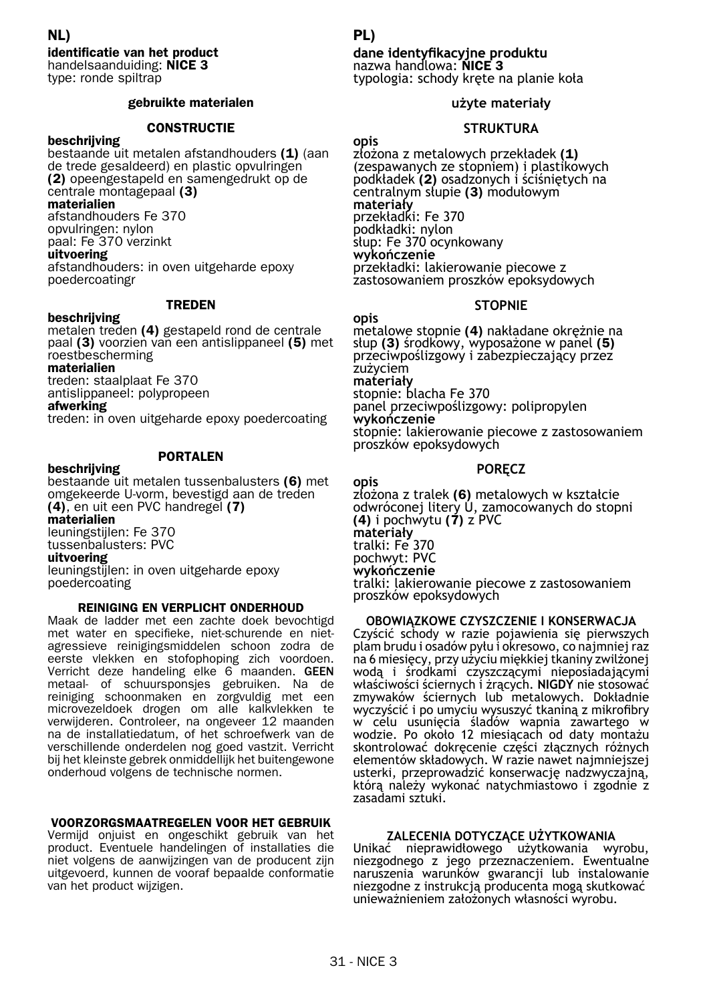identificatie van het product handelsaanduiding: NICE 3 type: ronde spiltrap NL)

#### gebruikte materialen

#### **CONSTRUCTIF**

beschrijving bestaande uit metalen afstandhouders (1) (aan de trede gesaldeerd) en plastic opvulringen (2) opeengestapeld en samengedrukt op de centrale montagepaal (3)

#### materialien

afstandhouders Fe 370 opvulringen: nylon paal: Fe 370 verzinkt uitvoering

afstandhouders: in oven uitgeharde epoxy poedercoatingr

#### TREDEN

#### beschrijving

metalen treden (4) gestapeld rond de centrale paal (3) voorzien van een antislippaneel (5) met roestbescherming

materialien

treden: staalplaat Fe 370 antislippaneel: polypropeen

#### afwerking

treden: in oven uitgeharde epoxy poedercoating

#### PORTALEN

#### beschrijving

bestaande uit metalen tussenbalusters (6) met omgekeerde U-vorm, bevestigd aan de treden (4), en uit een PVC handregel (7) materialien leuningstijlen: Fe 370 tussenbalusters: PVC uitvoering leuningstijlen: in oven uitgeharde epoxy poedercoating

#### REINIGING EN VERPLICHT ONDERHOUD

Maak de ladder met een zachte doek bevochtigd met water en specifieke, niet-schurende en nietagressieve reinigingsmiddelen schoon zodra de eerste vlekken en stofophoping zich voordoen. Verricht deze handeling elke 6 maanden. GEEN metaal- of schuursponsjes gebruiken. Na de reiniging schoonmaken en zorgvuldig met een microvezeldoek drogen om alle kalkvlekken te verwijderen. Controleer, na ongeveer 12 maanden na de installatiedatum, of het schroefwerk van de verschillende onderdelen nog goed vastzit. Verricht bij het kleinste gebrek onmiddellijk het buitengewone onderhoud volgens de technische normen.

#### VOORZORGSMAATREGELEN VOOR HET GEBRUIK

Vermijd onjuist en ongeschikt gebruik van het product. Eventuele handelingen of installaties die niet volgens de aanwijzingen van de producent zijn uitgevoerd, kunnen de vooraf bepaalde conformatie van het product wijzigen.

#### PL)

# **dane identyfikacyjne produktu** nazwa handlowa: NICE 3

typologia: schody kręte na planie koła

#### **użyte materiały**

#### **STRUKTURA**

**opis** złożona z metalowych przekładek (1) (zespawanych ze stopniem) <sup>i</sup> plastikowych podkładek (2) osadzonych <sup>i</sup> ściśniętych na centralnym słupie (3) modułowym **materiały** przekładki: Fe 370<br>podkładki: nylon słup: Fe 370 ocynkowany<br>**wykończenie**<br>przekładki: lakierowanie piecowe z zastosowaniem proszków epoksydowych

#### **STOPNIE**

opis<br>metalowe stopnie (4) nakładane okreżnie na słup (3) środkowy, wyposażone w panel (5)<br>przeciwpoślizgowy i zabezpieczający przez<br>zużyciem **materiały** stopnie: blacha Fe 370 panel przeciwpoślizgowy: polipropylen **wykończenie** stopnie: lakierowanie piecowe z zastosowaniem proszków epoksydowych

#### **PORĘCZ**

**opis** złożona z tralek (6) metalowych w kształcie odwróconej litery U, zamocowanych do stopni (4) i pochwytu  $(7)$  z PVC **materiały** tralki: Fe 370 pochwyt: PVC **wykończenie** tralki: lakierowanie piecowe z zastosowaniem proszków epoksydowych

#### **OBOWIĄZKOWE CZYSZCZENIE I KONSERWACJA**

Czyścić schody w razie pojawienia się pierwszych<br>plambrudu i osadów pyłu i okresowo, co najmniej raz na 6 miesięcy, przy użyciu miękkiej tkaniny zwilżonej<br>wodą i środkami czyszczącymi nieposiadającymi właściwości ściernych i żrących. **NIGDY** nie stosować zmywaków ściernych lub metalowych. Dokładnie<br>wyczyścić i po umycju wysuszyć tkaniną z mikrofibry w celu usunięciá śladów wapnia zawartego w<br>wodzie. Po około 12 miesiącach od daty montażu<br>skontrolować dokrecenie cześci złacznych różnych elementów składowych. W razie nawet najmniejszej<br>usterki, przeprowadzić konserwację nadzwyczajną, którą należy wykonać natychmiastowo i zgodnie z<br>zasadami sztuki.

#### **ZALECENIA DOTYCZĄCE UŻYTKOWANIA**

Unikać nieprawidłowego użytkowania wyrobu, niezgodnego z jego przeznaczeniem. Ewentualne naruszenia warunków gwarancji lub instalowanie niezgodne z instrukcją producenta mogą skutkować unieważnieniem założonych własności wyrobu.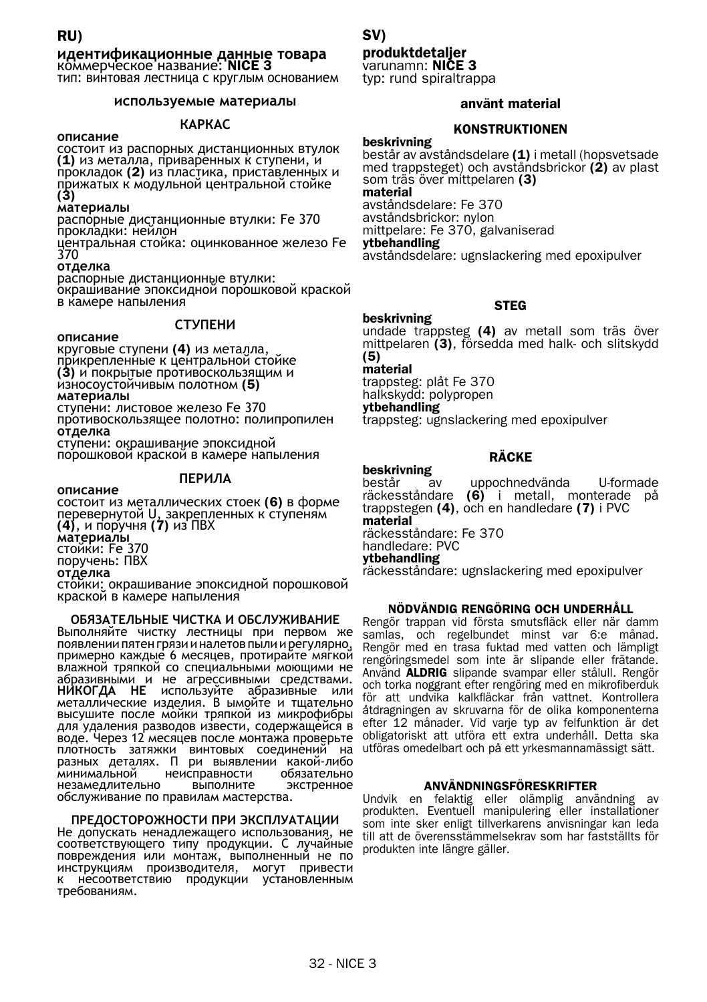# RU) SV)

**идентификационные данные товара** коммерческое название: NICE 3

тип: винтовая лестница с круглым основанием

#### **используемые материалы**

**КАРКАС<br>• описание<br>• состоит из распорных дистанционных втулок** (1) из металла, приваренных к ступени, и<br>прокладок (2) из пластика, приставленных и<br>прижатых к модульной центральной стойке (3)

**материалы**

распорные дистанционные втулки: Fe 370 прокладки: нейлон

центральная стойка: оцинкованное железо Fe 370

**отделка**

распорные дистанционные втулки: окрашивание эпоксидной порошковой краской<br>в камере напыления

# **СТУПЕНИ описание**

круговые ступени (4) из металла, прикрепленные к центральной стойке (3) и покрытые противоскользящим и<br>износоустойчивым полотном (5) **материалы**

ступени: листовое железо Fe 370

противоскользящее полотно: полипропилен **отделка**<br>ступени: окрашивание эпоксидной

порошковой краской в камере напыления

**ПЕРИЛА**<br>**описание**<br>состоит из металлических стоек (6) в форме перевернутой U, закрепленных к ступеням (4), и поручня (7) из ПВХ **материалы** стойки: Fe 370 поручень: ПВХ **отделка** стойки: окрашивание эпоксидной порошковой краской <sup>в</sup> камере напыления

**ОБЯЗАТЕЛЬНЫЕ ЧИСТКА И ОБСЛУЖИВАНИЕ** появлении пятен грязи и налетов пыли и регулярно, примерно каждые 6 месяцев, протирайте мягкой<br>влажной тряпкой со специальными моющими не абразивными и не агрессивными средствами.<br>**НИКОГДА НЕ** используйте абразивные или<br>металлические изделия. В ымойте и тщательно высушите после мойки тряпкой из микрофибры для удаления разводов извести, содержащейся в<br>воде. Через 12 месяцев после монтажа проверьте<br>плотность - затяжки - винтовых соединений - на<br>разных деталях. П ри выявлении какой-либо<br>минимальной - неисправности - обязатель минимальной неисправности обязательно<br>незамедлительно выполните экстренное обслуживание по правилам мастерства.

# **ПРЕДОСТОРОЖНОСТИ ПРИ ЭКСПЛУАТАЦИИ**

соответствующего типу продукции. С лучайные<br>повреждения или монтаж, выполненный не по инструкциям производителя, могут привести<br>к несоответствию продукции установленным<br>требованиям.

#### produktdetaljer

varunamn: **NIČE 3** typ: rund spiraltrappa

#### använt material

#### **KONSTRUKTIONEN**

beskrivning består av avståndsdelare (1) i metall (hopsvetsade med trappsteget) och avståndsbrickor (2) av plast som träs över mittpelaren (3) material avståndsdelare: Fe 370 avståndsbrickor: nylon mittpelare: Fe 370, galvaniserad ytbehandling

avståndsdelare: ugnslackering med epoxipulver

#### **STEG**

beskrivning undade trappsteg (4) av metall som träs över mittpelaren (3), försedda med halk- och slitskydd

#### (5) material

trappsteg: plåt Fe 370 halkskydd: polypropen

ytbehandling

trappsteg: ugnslackering med epoxipulver

#### RÄCKE

**beskrivning**<br>består av uppochnedvända U-formade<br>(6) i metall, monterade på räckesståndare  $(6)$  i metall, monterade trappstegen (4), och en handledare (7) i PVC material

räckesståndare: Fe 370

handledare: PVC

#### ytbehandling

räckesståndare: ugnslackering med epoxipulver

#### NÖDVÄNDIG RENGÖRING OCH UNDERHÅLL

Rengör trappan vid första smutsfläck eller när damm samlas, och regelbundet minst var 6:e månad. Rengör med en trasa fuktad med vatten och lämpligt rengöringsmedel som inte är slipande eller frätande. Använd ALDRIG slipande svampar eller stålull. Rengör och torka noggrant efter rengöring med en mikrofiberduk för att undvika kalkfläckar från vattnet. Kontrollera åtdragningen av skruvarna för de olika komponenterna efter 12 månader. Vid varje typ av felfunktion är det obligatoriskt att utföra ett extra underhåll. Detta ska utföras omedelbart och på ett yrkesmannamässigt sätt.

#### ANVÄNDNINGSFÖRESKRIFTER

Undvik en felaktig eller olämplig användning av produkten. Eventuell manipulering eller installationer som inte sker enligt tillverkarens anvisningar kan leda till att de överensstämmelsekrav som har fastställts för produkten inte längre gäller.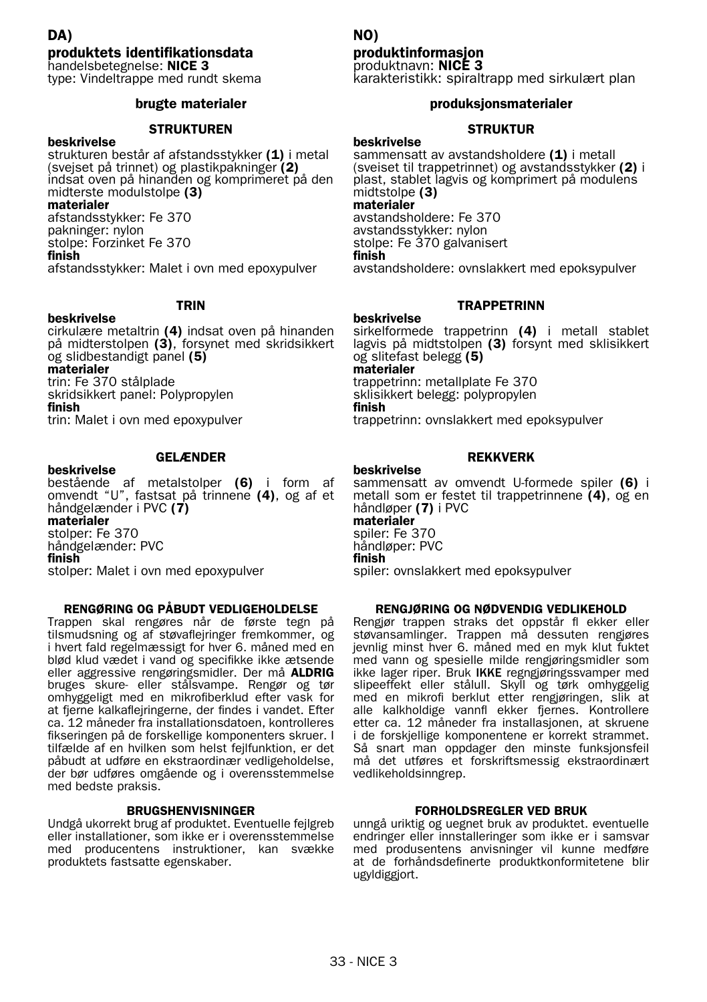#### DA) produktets identifikationsdata handelsbetegnelse: NICE 3

type: Vindeltrappe med rundt skema

#### brugte materialer

#### **STRUKTUREN**

beskrivelse strukturen består af afstandsstykker (1) i metal (svejset på trinnet) og plastikpakninger (2) indsat oven på hinanden og komprimeret på den midterste modulstolpe (3)

#### materialer

afstandsstykker: Fe 370 pakninger: nylon stolpe: Forzinket Fe 370 finish

afstandsstykker: Malet i ovn med epoxypulver

## TRIN

beskrivelse cirkulære metaltrin (4) indsat oven på hinanden på midterstolpen (3), forsynet med skridsikkert og slidbestandigt panel (5) materialer trin: Fe 370 stålplade skridsikkert panel: Polypropylen finish trin: Malet i ovn med epoxypulver

#### GELÆNDER

beskrivelse bestående af metalstolper (6) i form af<br>omvendt"U", fastsat på trinnene (4), og af et<br>håndgelænder i PVC (7) materialer stolper: Fe 370 håndgelænder: PVC finish stolper: Malet i ovn med epoxypulver

#### RENGØRING OG PÅBUDT VEDLIGEHOLDELSE

Trappen skal rengøres når de første tegn på tilsmudsning og af støvaflejringer fremkommer, og i hvert fald regelmæssigt for hver 6. måned med en blød klud vædet i vand og specifikke ikke ætsende eller aggressive rengøringsmidler. Der må ALDRIG bruges skure- eller stålsvampe. Rengør og tør omhyggeligt med en mikrofiberklud efter vask for at fjerne kalkaflejringerne, der findes i vandet. Efter ca. 12 måneder fra installationsdatoen, kontrolleres fikseringen på de forskellige komponenters skruer. I tilfælde af en hvilken som helst fejlfunktion, er det påbudt at udføre en ekstraordinær vedligeholdelse, der bør udføres omgående og i overensstemmelse med bedste praksis.

#### BRUGSHENVISNINGER

Undgå ukorrekt brug af produktet. Eventuelle fejlgreb eller installationer, som ikke er i overensstemmelse med producentens instruktioner, kan svække produktets fastsatte egenskaber.

#### NO)

## produktinformasjon

produktnavn: **NICE 3**<br>karakteristikk: spiraltrapp med sirkulært plan

#### produksjonsmaterialer

#### **STRUKTUR**

beskrivelse sammensatt av avstandsholdere (1) i metall (sveiset til trappetrinnet) og avstandsstykker (2) i plast, stablet lagvis og komprimert på modulens midtstolpe (3) materialer avstandsholdere: Fe 370 avstandsstykker: nylon stolpe: Fe 370 galvanisert finish avstandsholdere: ovnslakkert med epoksypulver

#### **TRAPPETRINN**

#### beskrivelse

sirkelformede trappetrinn (4) i metall stablet lagvis på midtstolpen (3) forsynt med sklisikkert og slitefast belegg (5) materialer trappetrinn: metallplate Fe 370 sklisikkert belegg: polypropylen finish trappetrinn: ovnslakkert med epoksypulver

#### REKKVERK

#### beskrivelse

sammensatt av omvendt U-formede spiler (6) i metall som er festet til trappetrinnene (4), og en håndløper (7) i PVC materialer spiler: Fe 370 håndløper: PVC finish spiler: ovnslakkert med epoksypulver

#### RENGJØRING OG NØDVENDIG VEDLIKEHOLD

Rengjør trappen straks det oppstår fl ekker eller støvansamlinger. Trappen må dessuten rengjøres jevnlig minst hver 6. måned med en myk klut fuktet med vann og spesielle milde rengjøringsmidler som ikke lager riper. Bruk IKKE regngjøringssvamper med slipeeffekt eller stålull. Skyll og tørk omhyggelig med en mikrofi berklut etter rengjøringen, slik at alle kalkholdige vannfl ekker fjernes. Kontrollere etter ca. 12 måneder fra installasjonen, at skruene i de forskjellige komponentene er korrekt strammet. Så snart man oppdager den minste funksjonsfeil må det utføres et forskriftsmessig ekstraordinært vedlikeholdsinngrep.

#### FORHOLDSREGLER VED BRUK

unngå uriktig og uegnet bruk av produktet. eventuelle endringer eller innstalleringer som ikke er i samsvar med produsentens anvisninger vil kunne medføre at de forhåndsdefinerte produktkonformitetene blir ugyldiggjort.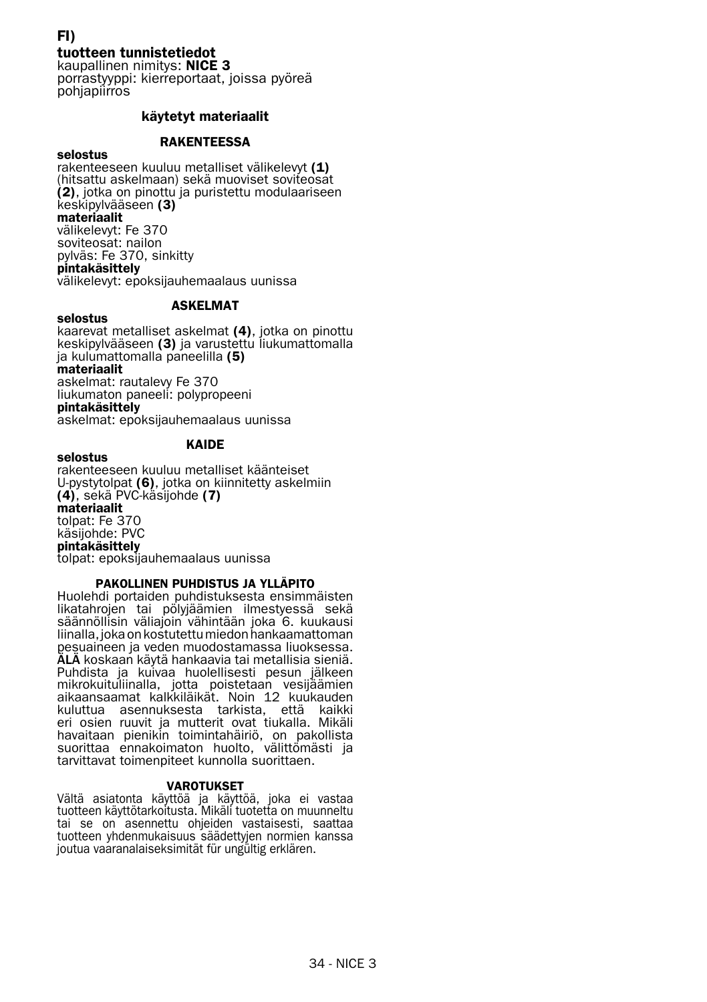## FI)

tuotteen tunnistetiedot

kaupallinen nimitys: NICE 3 porrastyyppi: kierreportaat, joissa pyöreä **pohjapiirros** 

#### käytetyt materiaalit

#### **RAKENTEESSA**

#### selostus

rakenteeseen kuuluu metalliset välikelevyt (1) (hitsattu askelmaan) sekä muoviset soviteosat  $(2)$ , jotka on pinottu ja puristettu modulaariseen keskipylvääseen (3) materiaalit välikelevyt: Fe 370 soviteosat: nailon pylväs: Fe 370, sinkitty pintakäsittely välikelevyt: epoksijauhemaalaus uunissa

#### ASKELMAT

selostus kaarevat metalliset askelmat (4), jotka on pinottu keskipylvääseen (3) ja varustettu liukumattomalla ja kulumattomalla paneelilla (5) materiaalit askelmat: rautalevy Fe 370 liukumaton paneeli: polypropeeni pintakäsittely askelmat: epoksijauhemaalaus uunissa

#### KAIDE

selostus rakenteeseen kuuluu metalliset käänteiset U-pystytolpat (6), jotka on kiinnitetty askelmiin (4), sekä PVC-käsijohde (7) materiaalit tolpat: Fe 370 käsijohde: PVC pintakäsittely tolpat: epoksijauhemaalaus uunissa

#### PAKOLLINEN PUHDISTUS JA YLLÄPITO

Huolehdi portaiden puhdistuksesta ensimmäisten likatahrojen tai pölyjäämien ilmestyessä sekä säännöllisin väliajoin vähintään joka 6. kuukausi liinalla, joka on kostutettu miedon hankaamattoman pesuaineen ja veden muodostamassa liuoksessa. ÄLÄ koskaan käytä hankaavia tai metallisia sieniä. Puhdista ja kuivaa huolellisesti pesun jälkeen mikrokuituliinalla, jotta poistetaan vesijäämien<br>aikaansaamat kalkkiläikät. Noin 12 kuukauden kuluttua asennuksesta tarkista, että kaikki eri osien ruuvit ja mutterit ovat tiukalla. Mikäli havaitaan pienikin toimintahäiriö, on pakollista suorittaa ennakoimaton huolto, välittömästi ja tarvittavat toimenpiteet kunnolla suorittaen.

#### VAROTUKSET

Vältä asiatonta käyttöä ja käyttöä, joka ei vastaa tuotteen käyttötarkoitusta. Mikäli tuotetta on muunneltu tai se on asennettu ohjeiden vastaisesti, saattaa tuotteen yhdenmukaisuus säädettyjen normien kanssa joutua vaaranalaiseksimität für ungültig erklären.